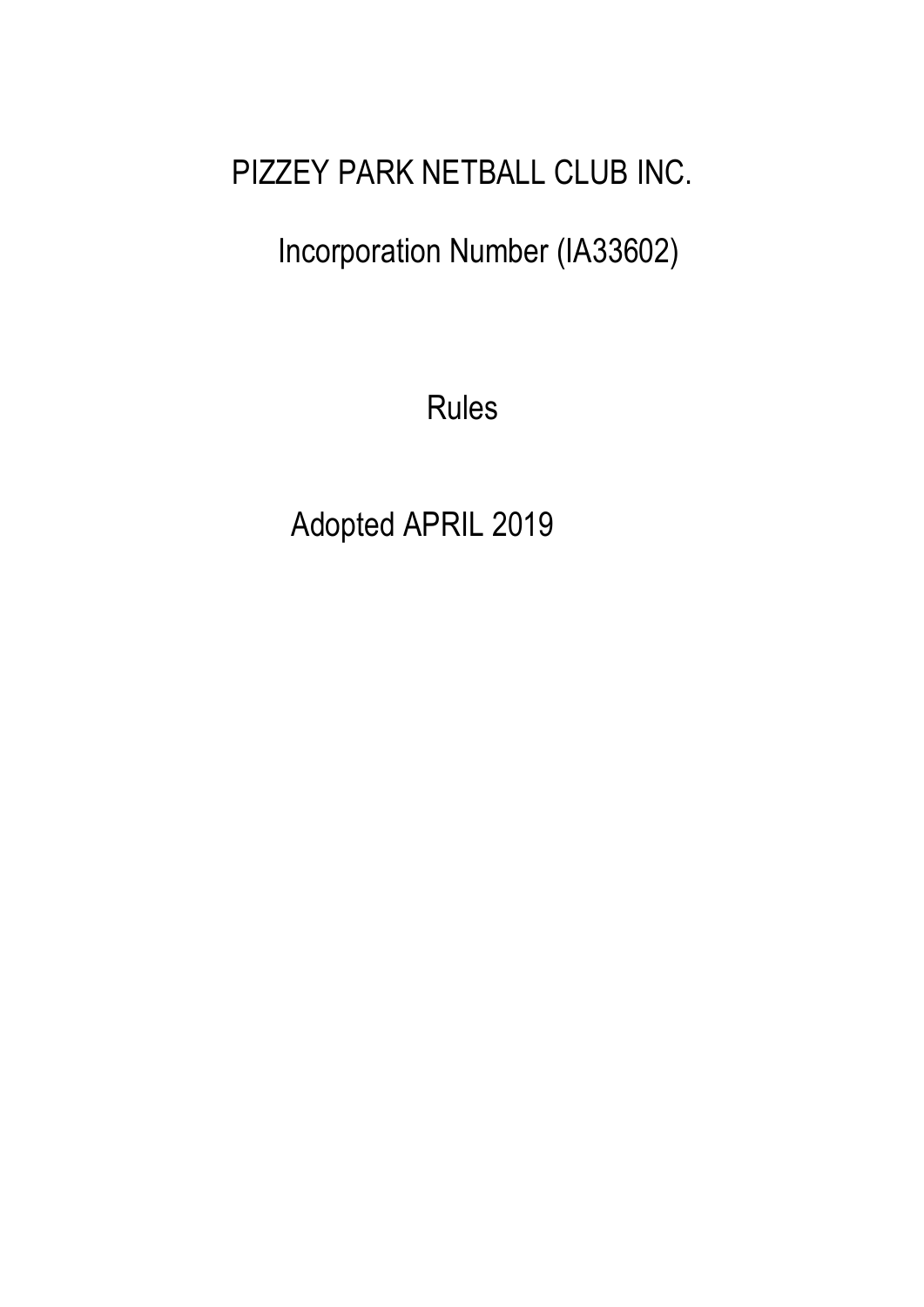# PIZZEY PARK NETBALL CLUB INC.

Incorporation Number (IA33602)

Rules

Adopted APRIL 2019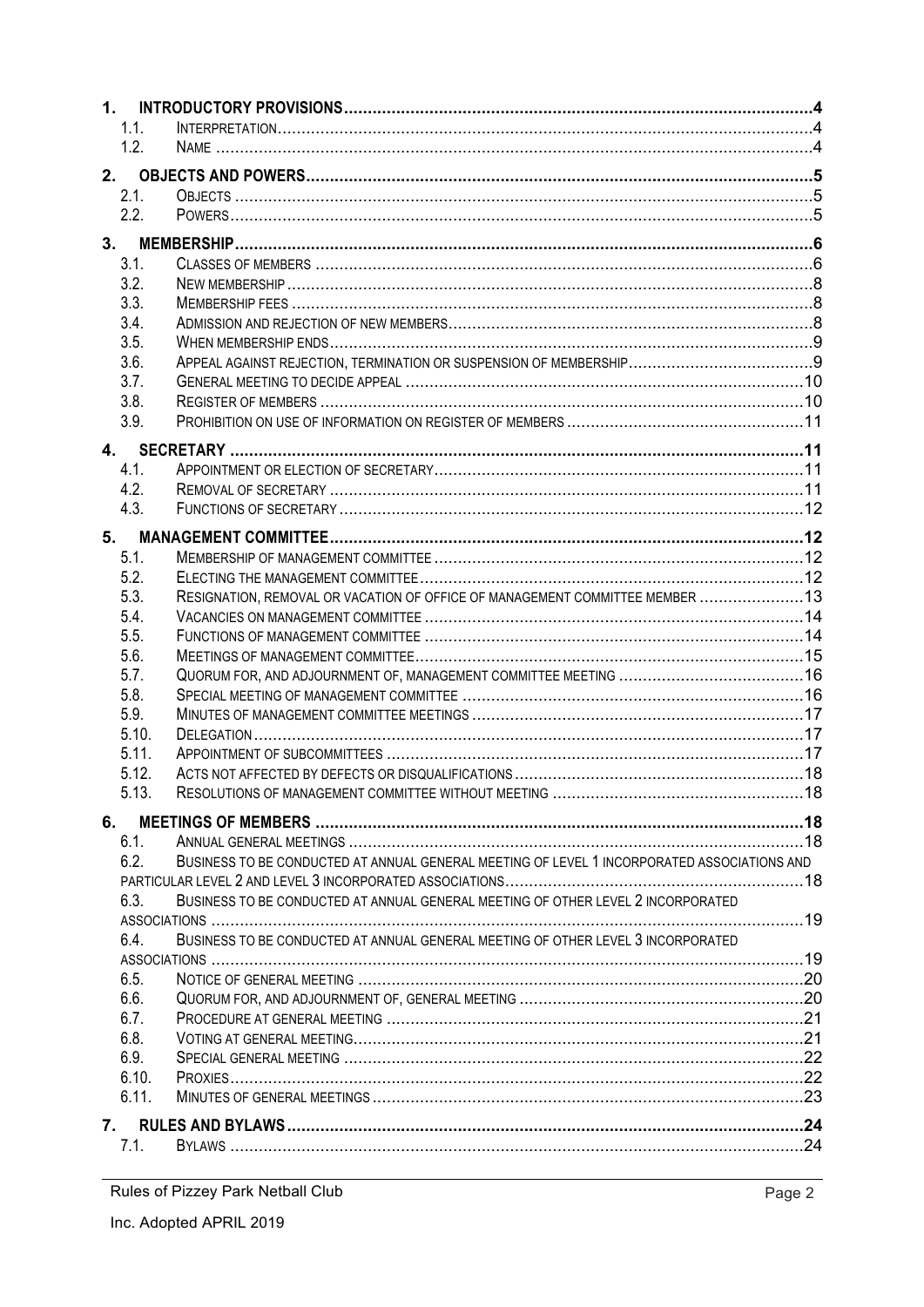| 1.1.         |                                                                                             |  |
|--------------|---------------------------------------------------------------------------------------------|--|
| 1.2.         |                                                                                             |  |
|              |                                                                                             |  |
| 2.1.         |                                                                                             |  |
| 2.2.         |                                                                                             |  |
|              |                                                                                             |  |
|              |                                                                                             |  |
| 3.1.<br>3.2. |                                                                                             |  |
| 3.3.         |                                                                                             |  |
| 3.4.         |                                                                                             |  |
| 3.5.         |                                                                                             |  |
| 3.6.         |                                                                                             |  |
| 3.7.         |                                                                                             |  |
| 3.8.         |                                                                                             |  |
| 3.9.         |                                                                                             |  |
|              |                                                                                             |  |
|              |                                                                                             |  |
| 4.1.         |                                                                                             |  |
| 4.2.         |                                                                                             |  |
| 4.3.         |                                                                                             |  |
| 5.           |                                                                                             |  |
| 5.1.         |                                                                                             |  |
| 5.2.         |                                                                                             |  |
| 5.3.         | RESIGNATION, REMOVAL OR VACATION OF OFFICE OF MANAGEMENT COMMITTEE MEMBER  13               |  |
| 5.4.         |                                                                                             |  |
| 5.5.         |                                                                                             |  |
| 5.6.         |                                                                                             |  |
| 5.7.         |                                                                                             |  |
| 5.8.         |                                                                                             |  |
| 5.9.         |                                                                                             |  |
| 5.10.        |                                                                                             |  |
| 5.11.        |                                                                                             |  |
| 5.12.        |                                                                                             |  |
| 5.13.        |                                                                                             |  |
| 6.           |                                                                                             |  |
| 6.1.         |                                                                                             |  |
| 6.2.         | BUSINESS TO BE CONDUCTED AT ANNUAL GENERAL MEETING OF LEVEL 1 INCORPORATED ASSOCIATIONS AND |  |
|              |                                                                                             |  |
| 6.3.         | BUSINESS TO BE CONDUCTED AT ANNUAL GENERAL MEETING OF OTHER LEVEL 2 INCORPORATED            |  |
|              |                                                                                             |  |
| 6.4.         | BUSINESS TO BE CONDUCTED AT ANNUAL GENERAL MEETING OF OTHER LEVEL 3 INCORPORATED            |  |
|              |                                                                                             |  |
| 6.5.         |                                                                                             |  |
| 6.6.         |                                                                                             |  |
| 6.7.         |                                                                                             |  |
| 6.8.         |                                                                                             |  |
| 6.9.         |                                                                                             |  |
| 6.10.        |                                                                                             |  |
| 6.11.        |                                                                                             |  |
| 7.           |                                                                                             |  |
| 7.1.         |                                                                                             |  |
|              |                                                                                             |  |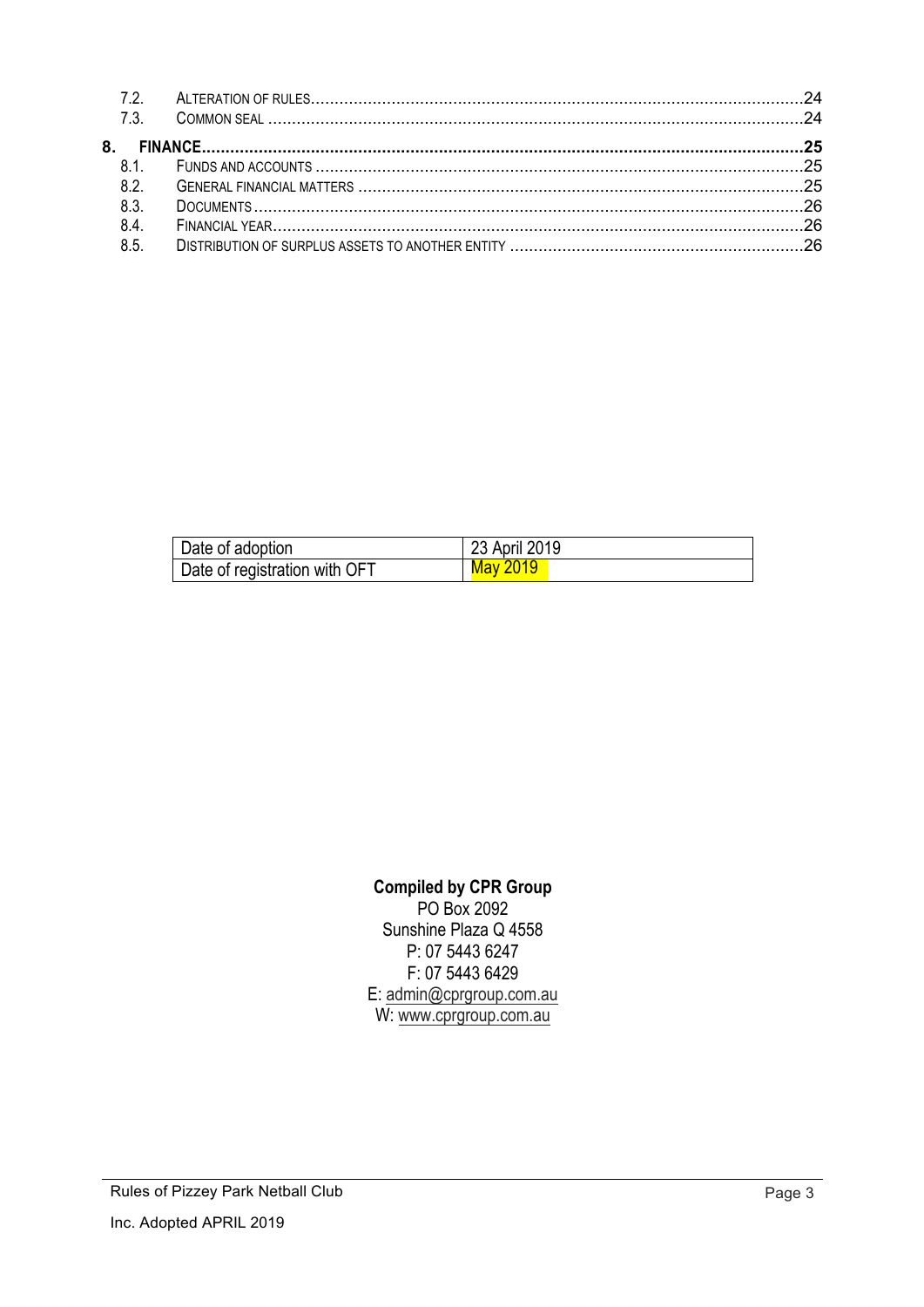| 7.2. |  |
|------|--|
|      |  |
|      |  |
| 81   |  |
| 8.2. |  |
| 8.3. |  |
| 8.4. |  |
| 8.5. |  |

| Date of adoption              | 23 April 2019   |
|-------------------------------|-----------------|
| Date of registration with OFT | <u>May 2019</u> |

#### **Compiled by CPR Group**

PO Box 2092 Sunshine Plaza Q 4558 P: 07 5443 6247 F: 07 5443 6429 E: admin@cprgroup.com.au W: www.cprgroup.com.au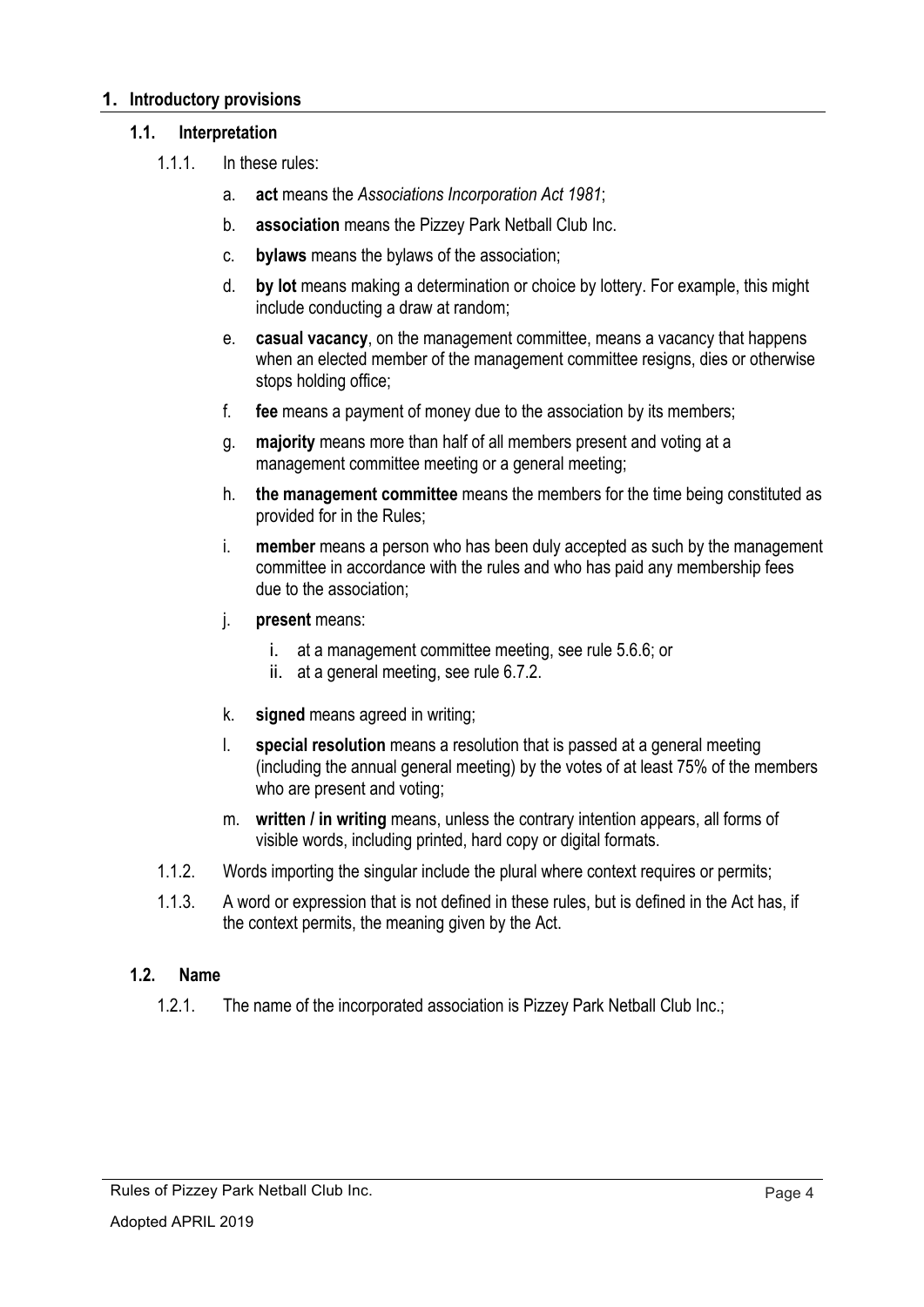#### **1. Introductory provisions**

#### **1.1. Interpretation**

- 1.1.1. In these rules:
	- a. **act** means the *Associations Incorporation Act 1981*;
	- b. **association** means the Pizzey Park Netball Club Inc.
	- c. **bylaws** means the bylaws of the association;
	- d. **by lot** means making a determination or choice by lottery. For example, this might include conducting a draw at random;
	- e. **casual vacancy**, on the management committee, means a vacancy that happens when an elected member of the management committee resigns, dies or otherwise stops holding office;
	- f. **fee** means a payment of money due to the association by its members;
	- g. **majority** means more than half of all members present and voting at a management committee meeting or a general meeting;
	- h. **the management committee** means the members for the time being constituted as provided for in the Rules;
	- i. **member** means a person who has been duly accepted as such by the management committee in accordance with the rules and who has paid any membership fees due to the association;
	- j. **present** means:
		- i. at a management committee meeting, see rule 5.6.6; or
		- ii. at a general meeting, see rule 6.7.2.
	- k. **signed** means agreed in writing;
	- l. **special resolution** means a resolution that is passed at a general meeting (including the annual general meeting) by the votes of at least 75% of the members who are present and voting;
	- m. **written / in writing** means, unless the contrary intention appears, all forms of visible words, including printed, hard copy or digital formats.
- 1.1.2. Words importing the singular include the plural where context requires or permits;
- 1.1.3. A word or expression that is not defined in these rules, but is defined in the Act has, if the context permits, the meaning given by the Act.

#### **1.2. Name**

1.2.1. The name of the incorporated association is Pizzey Park Netball Club Inc.;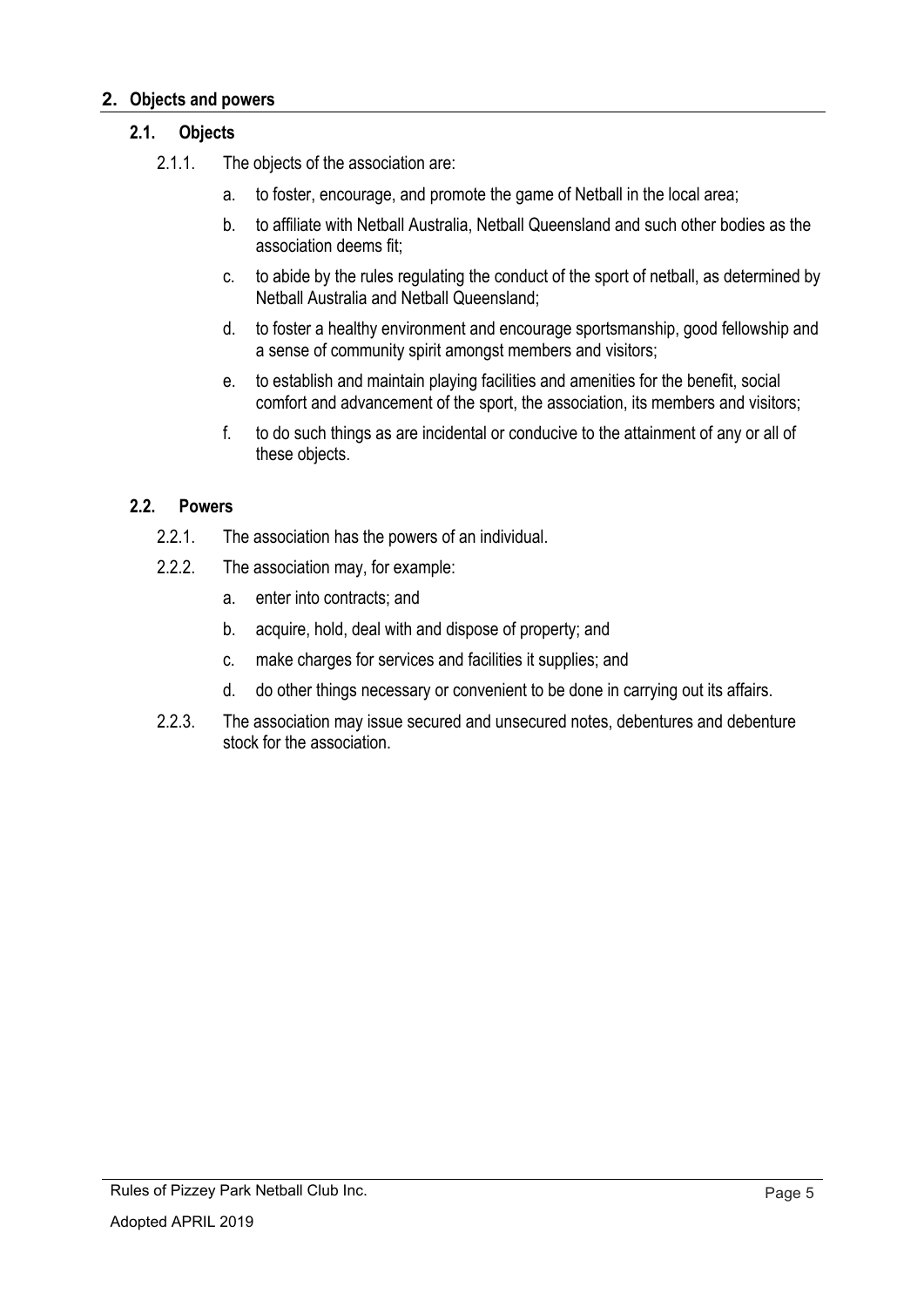#### **2. Objects and powers**

#### **2.1. Objects**

- 2.1.1. The objects of the association are:
	- a. to foster, encourage, and promote the game of Netball in the local area;
	- b. to affiliate with Netball Australia, Netball Queensland and such other bodies as the association deems fit;
	- c. to abide by the rules regulating the conduct of the sport of netball, as determined by Netball Australia and Netball Queensland;
	- d. to foster a healthy environment and encourage sportsmanship, good fellowship and a sense of community spirit amongst members and visitors;
	- e. to establish and maintain playing facilities and amenities for the benefit, social comfort and advancement of the sport, the association, its members and visitors;
	- f. to do such things as are incidental or conducive to the attainment of any or all of these objects.

#### **2.2. Powers**

- 2.2.1. The association has the powers of an individual.
- 2.2.2. The association may, for example:
	- a. enter into contracts; and
	- b. acquire, hold, deal with and dispose of property; and
	- c. make charges for services and facilities it supplies; and
	- d. do other things necessary or convenient to be done in carrying out its affairs.
- 2.2.3. The association may issue secured and unsecured notes, debentures and debenture stock for the association.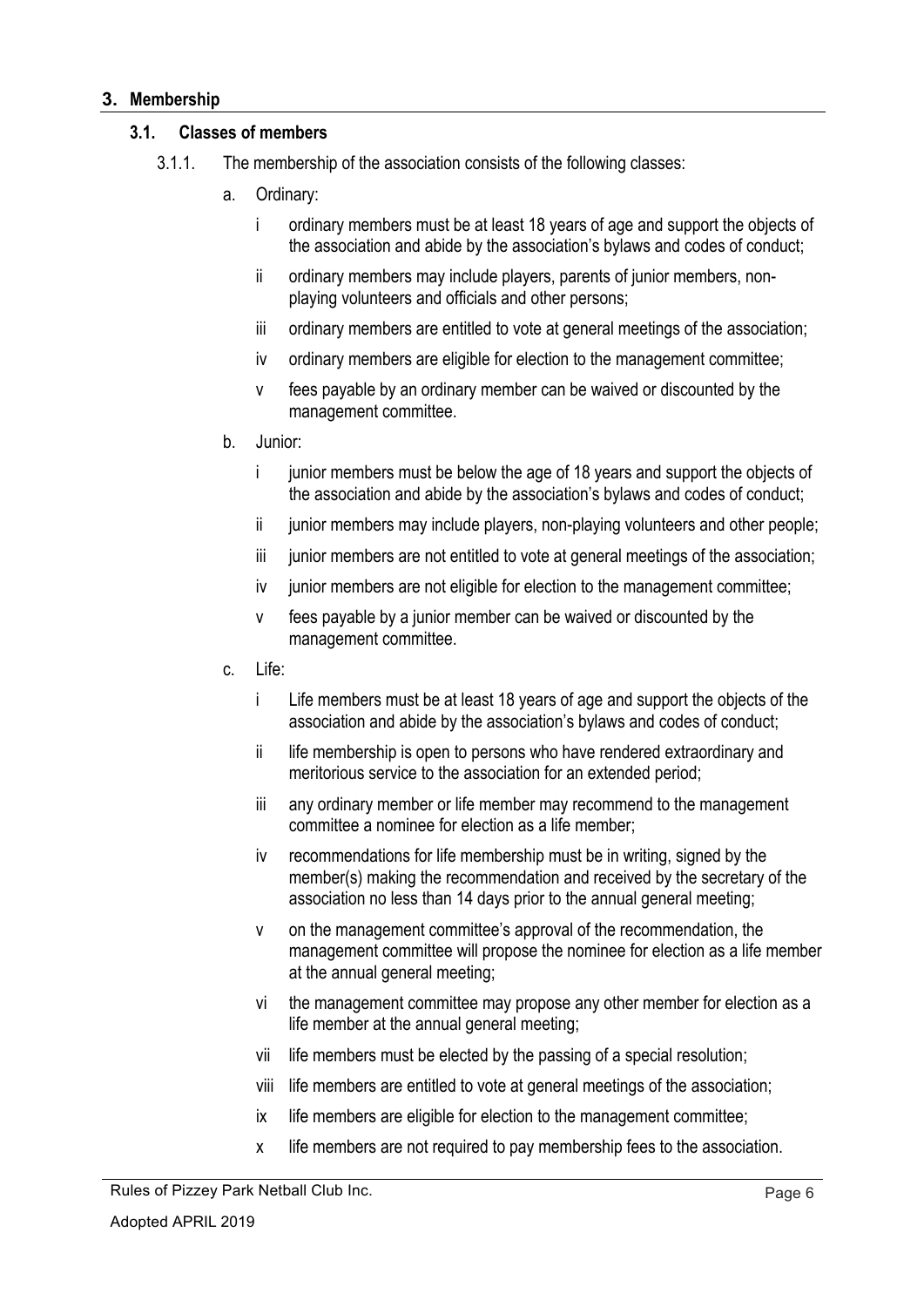#### **3. Membership**

#### **3.1. Classes of members**

- 3.1.1. The membership of the association consists of the following classes:
	- a. Ordinary:
		- i ordinary members must be at least 18 years of age and support the objects of the association and abide by the association's bylaws and codes of conduct;
		- ii ordinary members may include players, parents of junior members, nonplaying volunteers and officials and other persons;
		- iii ordinary members are entitled to vote at general meetings of the association;
		- iv ordinary members are eligible for election to the management committee;
		- v fees payable by an ordinary member can be waived or discounted by the management committee.
	- b. Junior:
		- i junior members must be below the age of 18 years and support the objects of the association and abide by the association's bylaws and codes of conduct;
		- ii junior members may include players, non-playing volunteers and other people;
		- iii junior members are not entitled to vote at general meetings of the association;
		- iv iunior members are not eligible for election to the management committee;
		- v fees payable by a junior member can be waived or discounted by the management committee.
	- c. Life:
		- i Life members must be at least 18 years of age and support the objects of the association and abide by the association's bylaws and codes of conduct;
		- ii life membership is open to persons who have rendered extraordinary and meritorious service to the association for an extended period;
		- iii any ordinary member or life member may recommend to the management committee a nominee for election as a life member;
		- iv recommendations for life membership must be in writing, signed by the member(s) making the recommendation and received by the secretary of the association no less than 14 days prior to the annual general meeting;
		- v on the management committee's approval of the recommendation, the management committee will propose the nominee for election as a life member at the annual general meeting;
		- vi the management committee may propose any other member for election as a life member at the annual general meeting;
		- vii life members must be elected by the passing of a special resolution;
		- viii life members are entitled to vote at general meetings of the association;
		- ix life members are eligible for election to the management committee;
		- x life members are not required to pay membership fees to the association.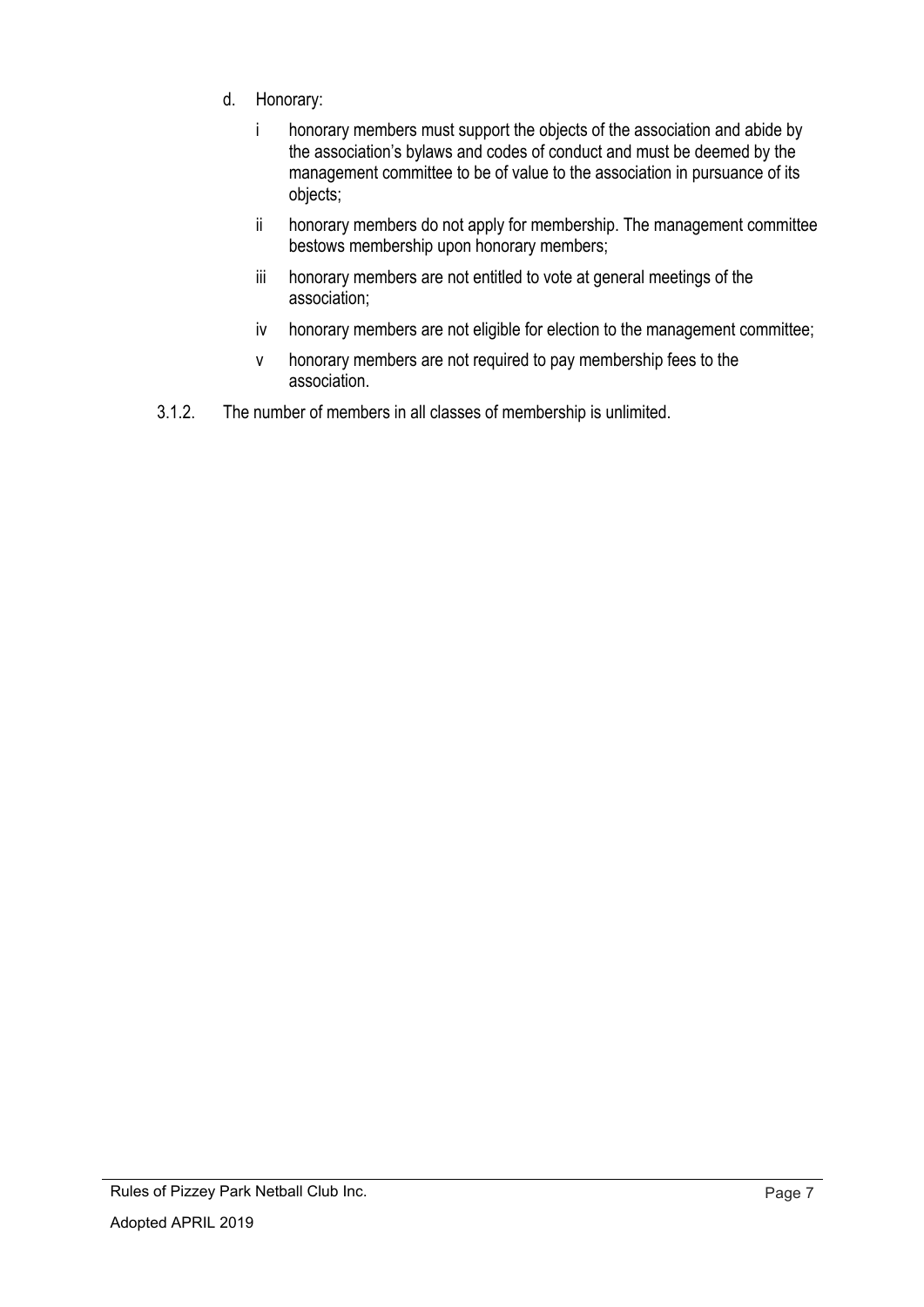- d. Honorary:
	- i honorary members must support the objects of the association and abide by the association's bylaws and codes of conduct and must be deemed by the management committee to be of value to the association in pursuance of its objects;
	- ii honorary members do not apply for membership. The management committee bestows membership upon honorary members;
	- iii honorary members are not entitled to vote at general meetings of the association;
	- iv honorary members are not eligible for election to the management committee;
	- v honorary members are not required to pay membership fees to the association.
- 3.1.2. The number of members in all classes of membership is unlimited.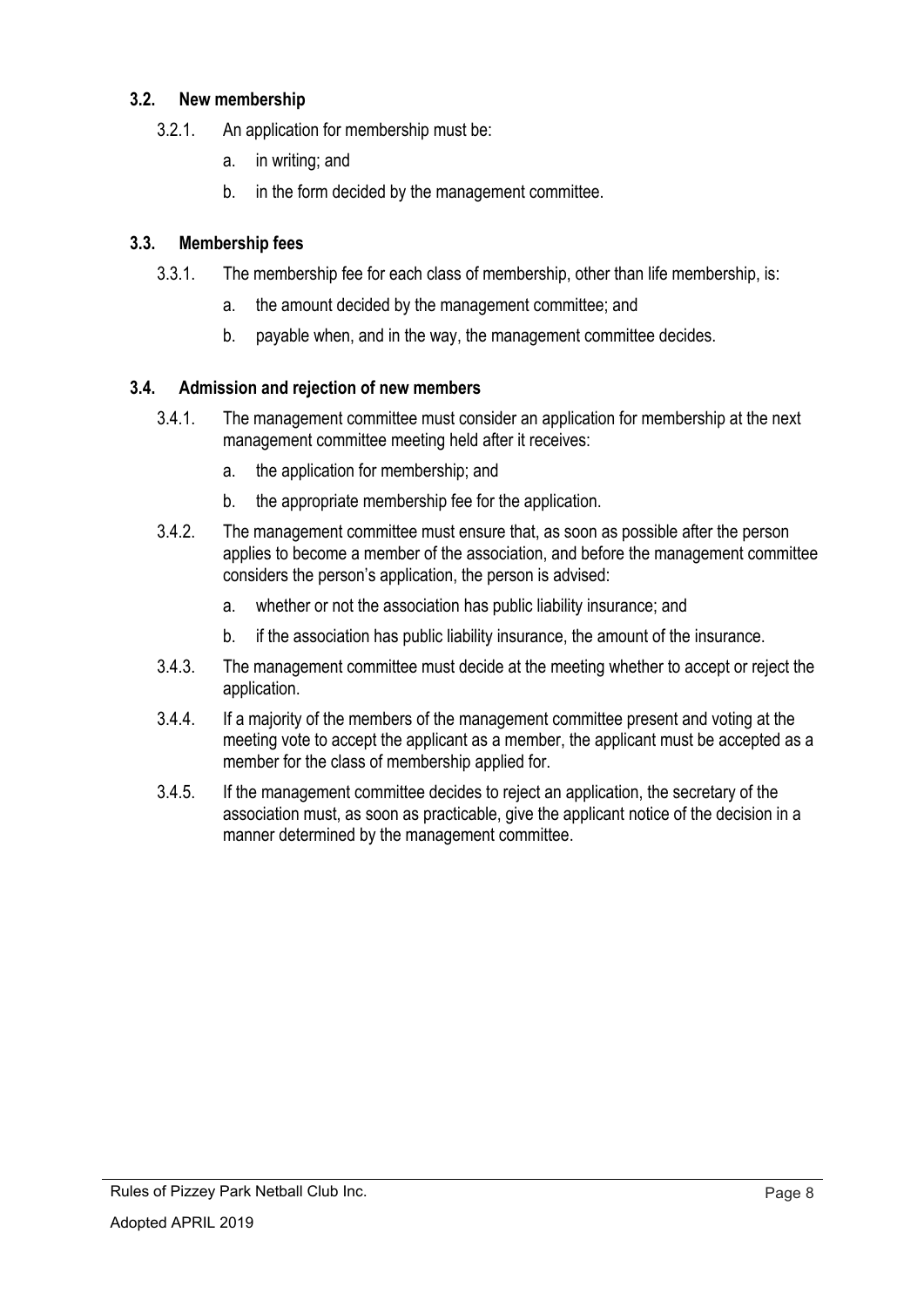## **3.2. New membership**

- 3.2.1. An application for membership must be:
	- a. in writing; and
	- b. in the form decided by the management committee.

## **3.3. Membership fees**

- 3.3.1. The membership fee for each class of membership, other than life membership, is:
	- a. the amount decided by the management committee; and
	- b. payable when, and in the way, the management committee decides.

## **3.4. Admission and rejection of new members**

- 3.4.1. The management committee must consider an application for membership at the next management committee meeting held after it receives:
	- a. the application for membership; and
	- b. the appropriate membership fee for the application.
- 3.4.2. The management committee must ensure that, as soon as possible after the person applies to become a member of the association, and before the management committee considers the person's application, the person is advised:
	- a. whether or not the association has public liability insurance; and
	- b. if the association has public liability insurance, the amount of the insurance.
- 3.4.3. The management committee must decide at the meeting whether to accept or reject the application.
- 3.4.4. If a majority of the members of the management committee present and voting at the meeting vote to accept the applicant as a member, the applicant must be accepted as a member for the class of membership applied for.
- 3.4.5. If the management committee decides to reject an application, the secretary of the association must, as soon as practicable, give the applicant notice of the decision in a manner determined by the management committee.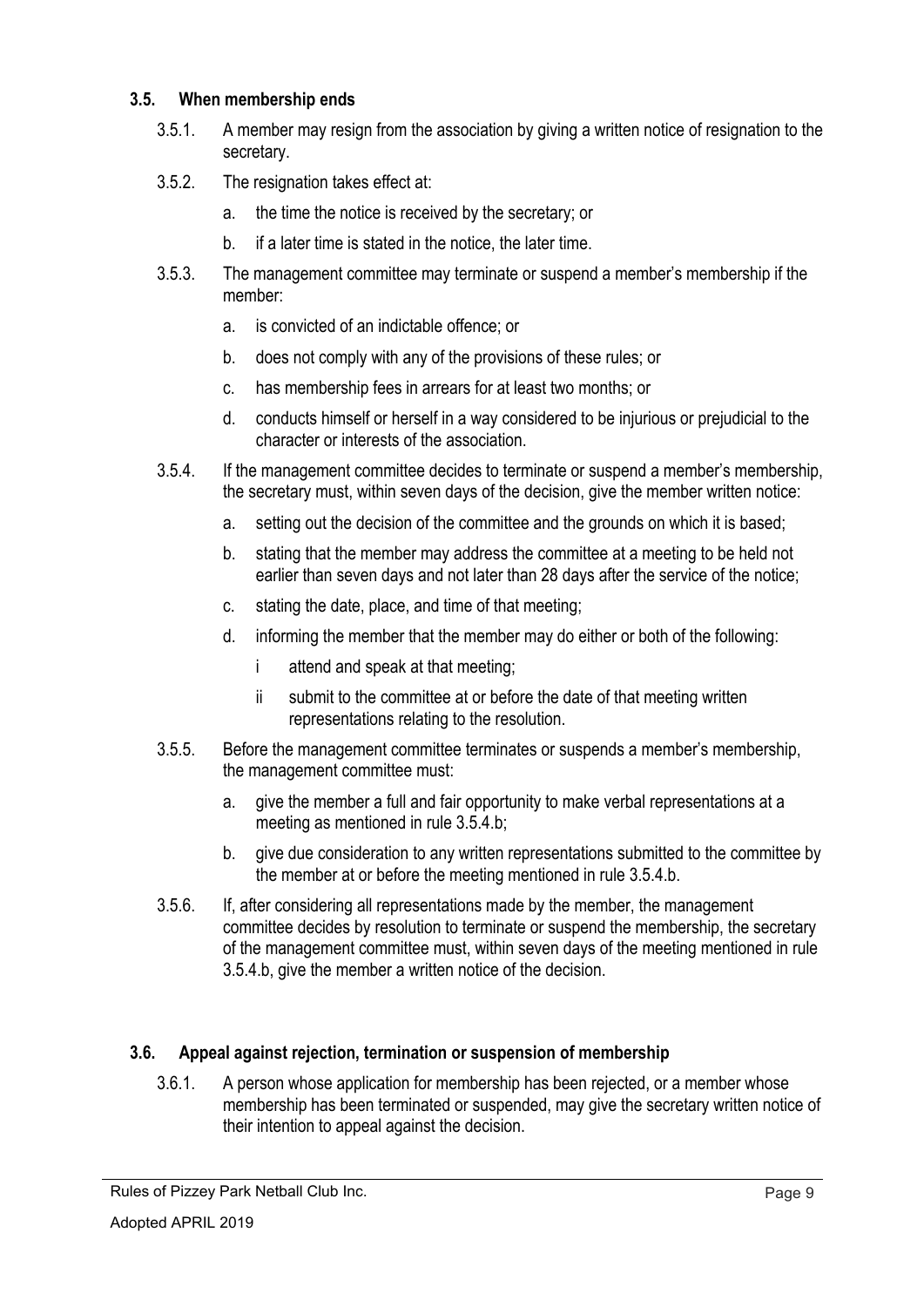#### **3.5. When membership ends**

- 3.5.1. A member may resign from the association by giving a written notice of resignation to the secretary.
- 3.5.2. The resignation takes effect at:
	- a. the time the notice is received by the secretary; or
	- b. if a later time is stated in the notice, the later time.
- 3.5.3. The management committee may terminate or suspend a member's membership if the member:
	- a. is convicted of an indictable offence; or
	- b. does not comply with any of the provisions of these rules; or
	- c. has membership fees in arrears for at least two months; or
	- d. conducts himself or herself in a way considered to be injurious or prejudicial to the character or interests of the association.
- 3.5.4. If the management committee decides to terminate or suspend a member's membership, the secretary must, within seven days of the decision, give the member written notice:
	- a. setting out the decision of the committee and the grounds on which it is based;
	- b. stating that the member may address the committee at a meeting to be held not earlier than seven days and not later than 28 days after the service of the notice;
	- c. stating the date, place, and time of that meeting;
	- d. informing the member that the member may do either or both of the following:
		- i attend and speak at that meeting;
		- ii submit to the committee at or before the date of that meeting written representations relating to the resolution.
- 3.5.5. Before the management committee terminates or suspends a member's membership, the management committee must:
	- a. give the member a full and fair opportunity to make verbal representations at a meeting as mentioned in rule 3.5.4.b;
	- b. give due consideration to any written representations submitted to the committee by the member at or before the meeting mentioned in rule 3.5.4.b.
- 3.5.6. If, after considering all representations made by the member, the management committee decides by resolution to terminate or suspend the membership, the secretary of the management committee must, within seven days of the meeting mentioned in rule 3.5.4.b, give the member a written notice of the decision.

# **3.6. Appeal against rejection, termination or suspension of membership**

3.6.1. A person whose application for membership has been rejected, or a member whose membership has been terminated or suspended, may give the secretary written notice of their intention to appeal against the decision.

Rules of Pizzey Park Netball Club Inc.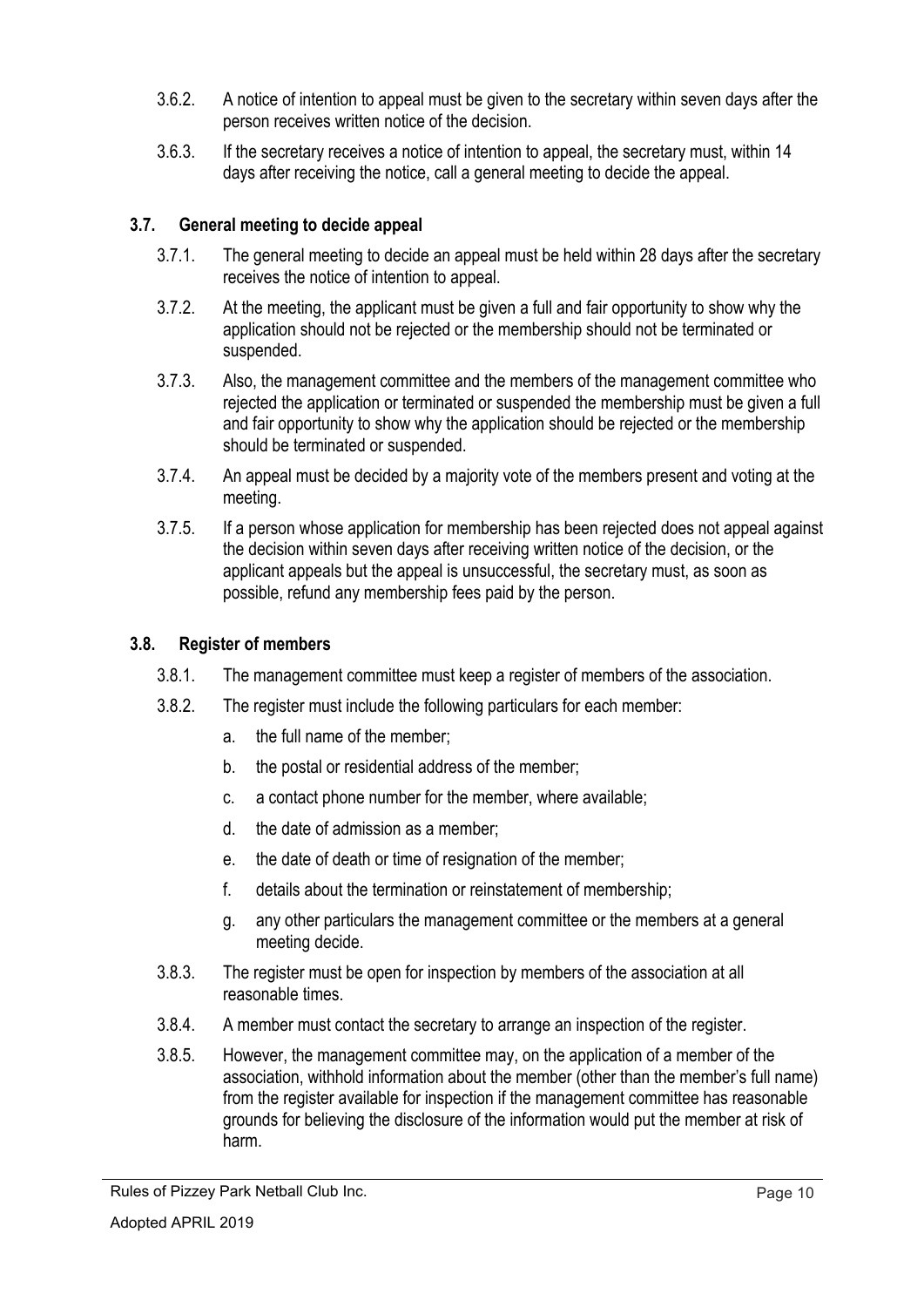- 3.6.2. A notice of intention to appeal must be given to the secretary within seven days after the person receives written notice of the decision.
- 3.6.3. If the secretary receives a notice of intention to appeal, the secretary must, within 14 days after receiving the notice, call a general meeting to decide the appeal.

# **3.7. General meeting to decide appeal**

- 3.7.1. The general meeting to decide an appeal must be held within 28 days after the secretary receives the notice of intention to appeal.
- 3.7.2. At the meeting, the applicant must be given a full and fair opportunity to show why the application should not be rejected or the membership should not be terminated or suspended.
- 3.7.3. Also, the management committee and the members of the management committee who rejected the application or terminated or suspended the membership must be given a full and fair opportunity to show why the application should be rejected or the membership should be terminated or suspended.
- 3.7.4. An appeal must be decided by a majority vote of the members present and voting at the meeting.
- 3.7.5. If a person whose application for membership has been rejected does not appeal against the decision within seven days after receiving written notice of the decision, or the applicant appeals but the appeal is unsuccessful, the secretary must, as soon as possible, refund any membership fees paid by the person.

# **3.8. Register of members**

- 3.8.1. The management committee must keep a register of members of the association.
- 3.8.2. The register must include the following particulars for each member:
	- a. the full name of the member;
	- b. the postal or residential address of the member;
	- c. a contact phone number for the member, where available;
	- d. the date of admission as a member;
	- e. the date of death or time of resignation of the member;
	- f. details about the termination or reinstatement of membership;
	- g. any other particulars the management committee or the members at a general meeting decide.
- 3.8.3. The register must be open for inspection by members of the association at all reasonable times.
- 3.8.4. A member must contact the secretary to arrange an inspection of the register.
- 3.8.5. However, the management committee may, on the application of a member of the association, withhold information about the member (other than the member's full name) from the register available for inspection if the management committee has reasonable grounds for believing the disclosure of the information would put the member at risk of harm.

Rules of Pizzey Park Netball Club Inc.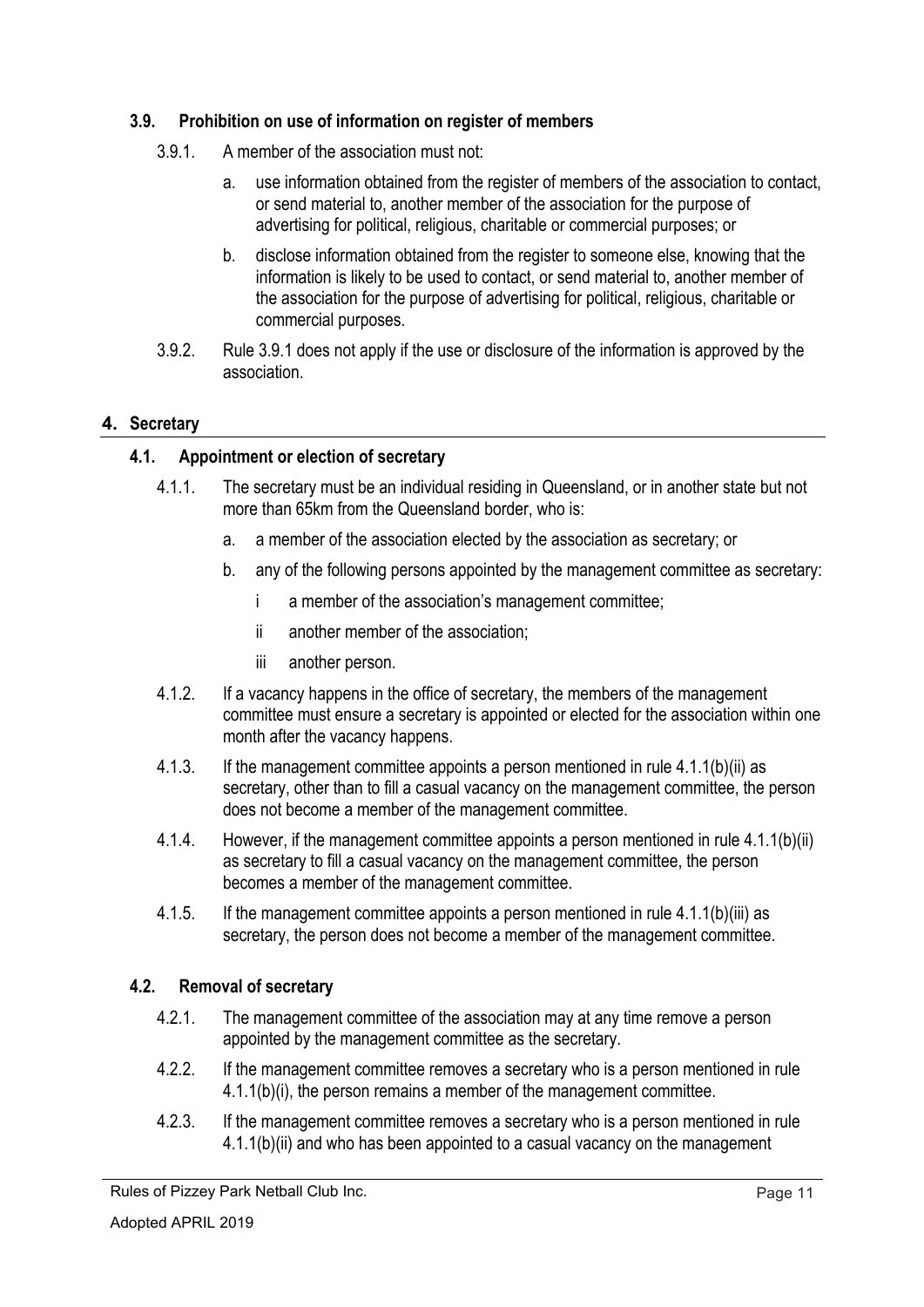# **3.9. Prohibition on use of information on register of members**

- 3.9.1. A member of the association must not:
	- a. use information obtained from the register of members of the association to contact, or send material to, another member of the association for the purpose of advertising for political, religious, charitable or commercial purposes; or
	- b. disclose information obtained from the register to someone else, knowing that the information is likely to be used to contact, or send material to, another member of the association for the purpose of advertising for political, religious, charitable or commercial purposes.
- 3.9.2. Rule 3.9.1 does not apply if the use or disclosure of the information is approved by the association.

#### **4. Secretary**

#### **4.1. Appointment or election of secretary**

- 4.1.1. The secretary must be an individual residing in Queensland, or in another state but not more than 65km from the Queensland border, who is:
	- a. a member of the association elected by the association as secretary; or
	- b. any of the following persons appointed by the management committee as secretary:
		- i a member of the association's management committee;
		- ii another member of the association;
		- iii another person.
- 4.1.2. If a vacancy happens in the office of secretary, the members of the management committee must ensure a secretary is appointed or elected for the association within one month after the vacancy happens.
- 4.1.3. If the management committee appoints a person mentioned in rule 4.1.1(b)(ii) as secretary, other than to fill a casual vacancy on the management committee, the person does not become a member of the management committee.
- 4.1.4. However, if the management committee appoints a person mentioned in rule 4.1.1(b)(ii) as secretary to fill a casual vacancy on the management committee, the person becomes a member of the management committee.
- 4.1.5. If the management committee appoints a person mentioned in rule 4.1.1(b)(iii) as secretary, the person does not become a member of the management committee.

#### **4.2. Removal of secretary**

- 4.2.1. The management committee of the association may at any time remove a person appointed by the management committee as the secretary.
- 4.2.2. If the management committee removes a secretary who is a person mentioned in rule 4.1.1(b)(i), the person remains a member of the management committee.
- 4.2.3. If the management committee removes a secretary who is a person mentioned in rule 4.1.1(b)(ii) and who has been appointed to a casual vacancy on the management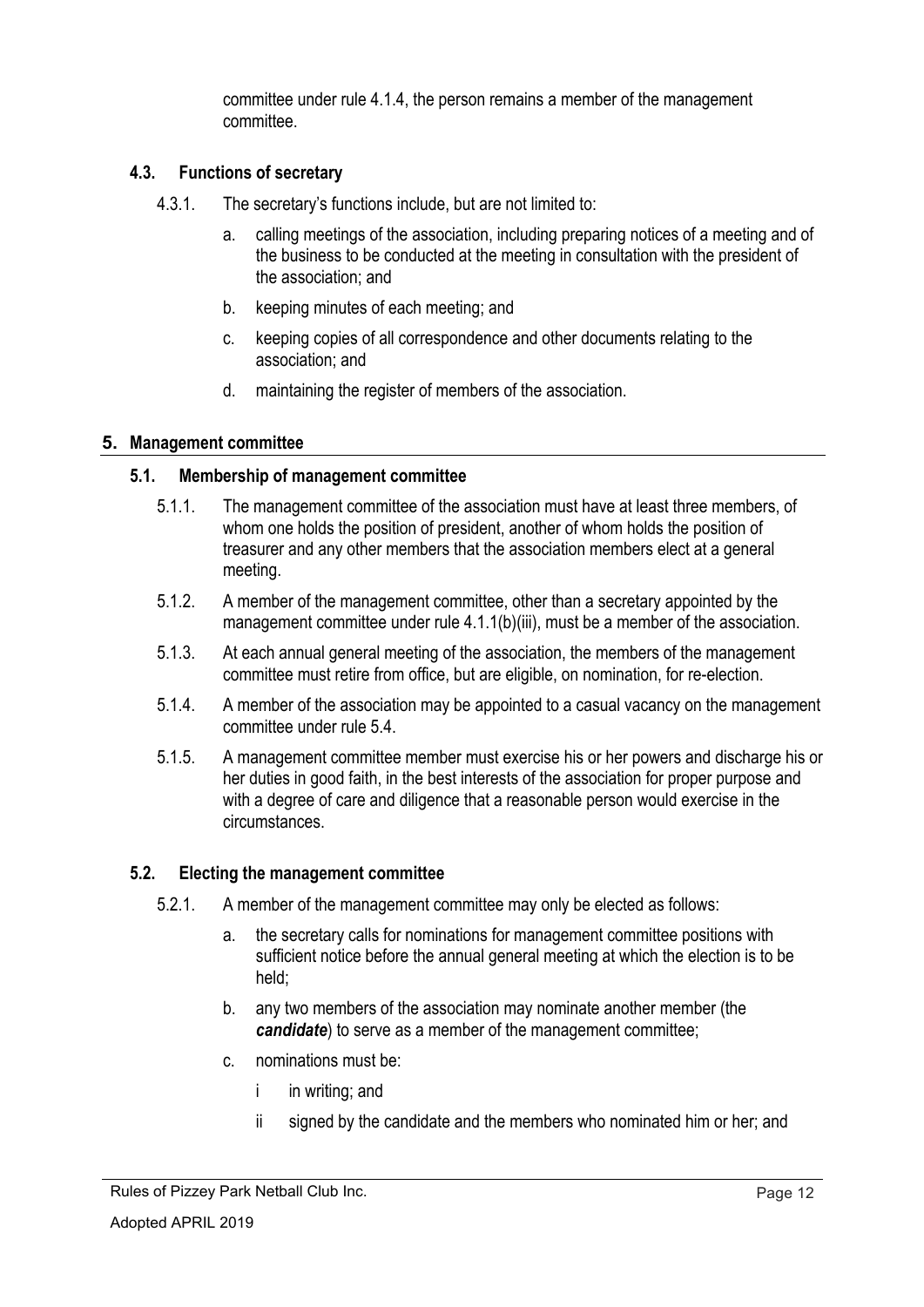committee under rule 4.1.4, the person remains a member of the management committee.

## **4.3. Functions of secretary**

- 4.3.1. The secretary's functions include, but are not limited to:
	- a. calling meetings of the association, including preparing notices of a meeting and of the business to be conducted at the meeting in consultation with the president of the association; and
	- b. keeping minutes of each meeting; and
	- c. keeping copies of all correspondence and other documents relating to the association; and
	- d. maintaining the register of members of the association.

#### **5. Management committee**

#### **5.1. Membership of management committee**

- 5.1.1. The management committee of the association must have at least three members, of whom one holds the position of president, another of whom holds the position of treasurer and any other members that the association members elect at a general meeting.
- 5.1.2. A member of the management committee, other than a secretary appointed by the management committee under rule 4.1.1(b)(iii), must be a member of the association.
- 5.1.3. At each annual general meeting of the association, the members of the management committee must retire from office, but are eligible, on nomination, for re-election.
- 5.1.4. A member of the association may be appointed to a casual vacancy on the management committee under rule 5.4.
- 5.1.5. A management committee member must exercise his or her powers and discharge his or her duties in good faith, in the best interests of the association for proper purpose and with a degree of care and diligence that a reasonable person would exercise in the circumstances.

#### **5.2. Electing the management committee**

- 5.2.1. A member of the management committee may only be elected as follows:
	- a. the secretary calls for nominations for management committee positions with sufficient notice before the annual general meeting at which the election is to be held;
	- b. any two members of the association may nominate another member (the *candidate*) to serve as a member of the management committee;
	- c. nominations must be:
		- i in writing; and
		- ii signed by the candidate and the members who nominated him or her; and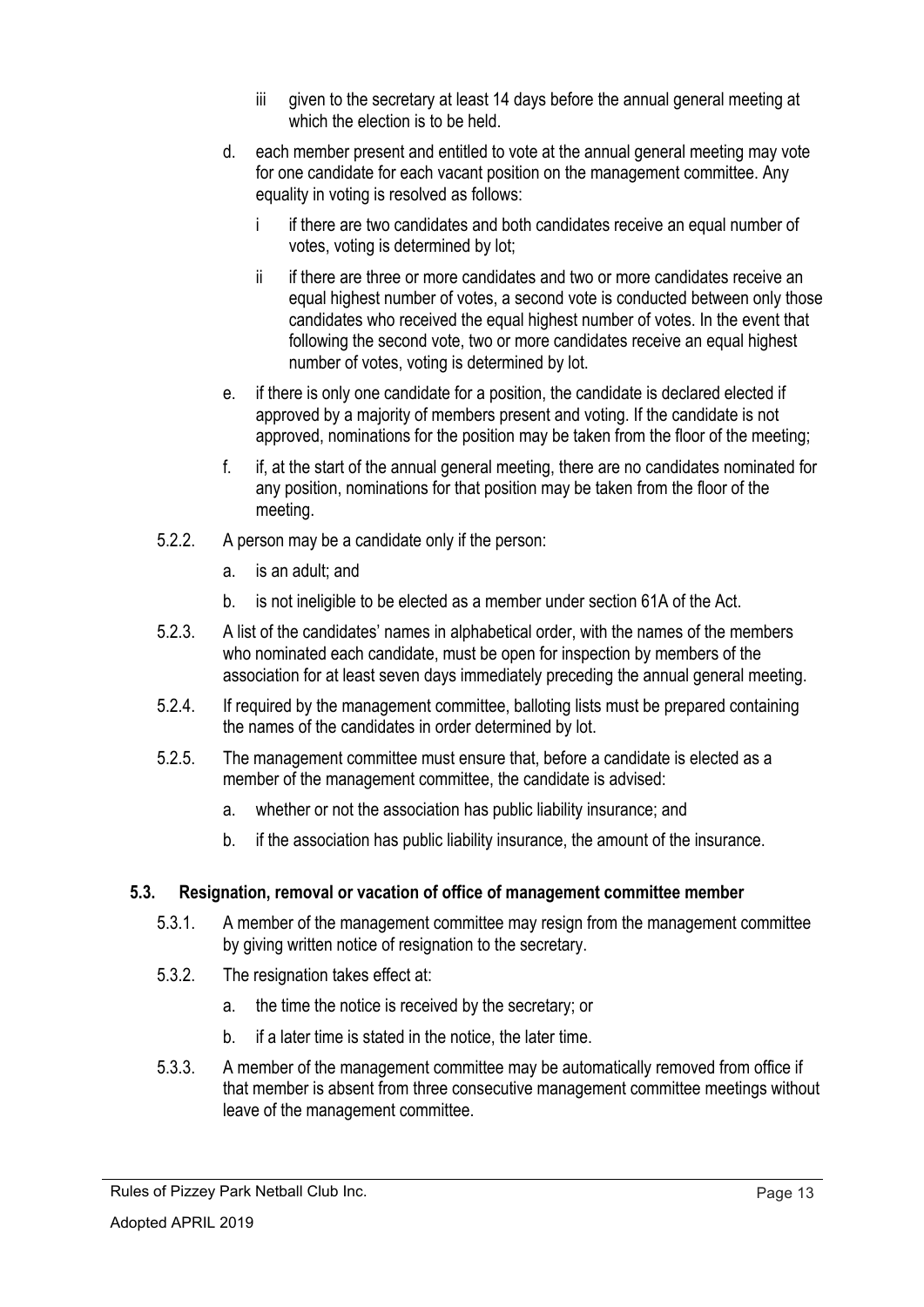- iii given to the secretary at least 14 days before the annual general meeting at which the election is to be held.
- d. each member present and entitled to vote at the annual general meeting may vote for one candidate for each vacant position on the management committee. Any equality in voting is resolved as follows:
	- i if there are two candidates and both candidates receive an equal number of votes, voting is determined by lot;
	- ii if there are three or more candidates and two or more candidates receive an equal highest number of votes, a second vote is conducted between only those candidates who received the equal highest number of votes. In the event that following the second vote, two or more candidates receive an equal highest number of votes, voting is determined by lot.
- e. if there is only one candidate for a position, the candidate is declared elected if approved by a majority of members present and voting. If the candidate is not approved, nominations for the position may be taken from the floor of the meeting;
- f. if, at the start of the annual general meeting, there are no candidates nominated for any position, nominations for that position may be taken from the floor of the meeting.
- 5.2.2. A person may be a candidate only if the person:
	- a. is an adult; and
	- b. is not ineligible to be elected as a member under section 61A of the Act.
- 5.2.3. A list of the candidates' names in alphabetical order, with the names of the members who nominated each candidate, must be open for inspection by members of the association for at least seven days immediately preceding the annual general meeting.
- 5.2.4. If required by the management committee, balloting lists must be prepared containing the names of the candidates in order determined by lot.
- 5.2.5. The management committee must ensure that, before a candidate is elected as a member of the management committee, the candidate is advised:
	- a. whether or not the association has public liability insurance; and
	- b. if the association has public liability insurance, the amount of the insurance.

# **5.3. Resignation, removal or vacation of office of management committee member**

- 5.3.1. A member of the management committee may resign from the management committee by giving written notice of resignation to the secretary.
- 5.3.2. The resignation takes effect at:
	- a. the time the notice is received by the secretary; or
	- b. if a later time is stated in the notice, the later time.
- 5.3.3. A member of the management committee may be automatically removed from office if that member is absent from three consecutive management committee meetings without leave of the management committee.

Rules of Pizzey Park Netball Club Inc.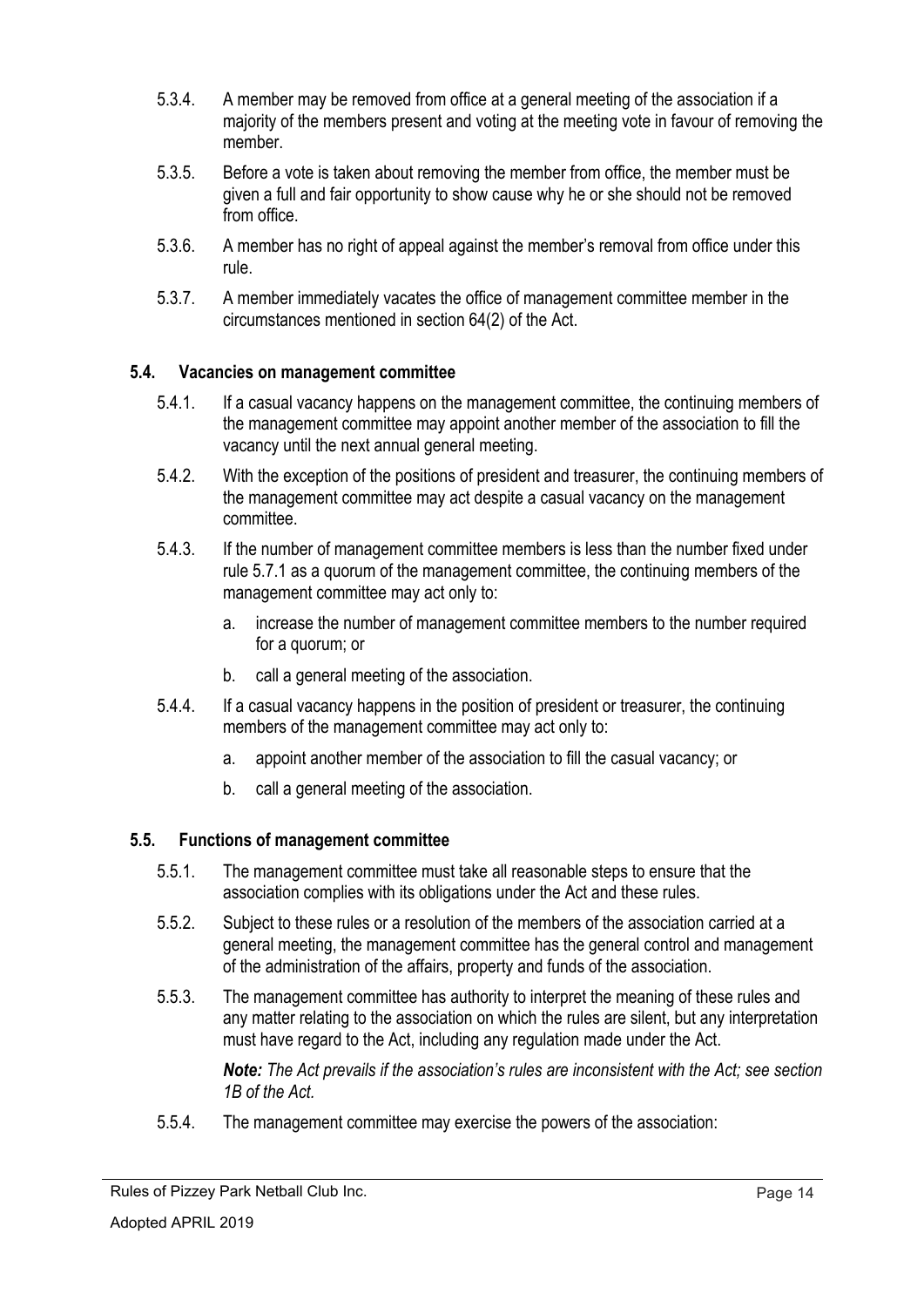- 5.3.4. A member may be removed from office at a general meeting of the association if a majority of the members present and voting at the meeting vote in favour of removing the member.
- 5.3.5. Before a vote is taken about removing the member from office, the member must be given a full and fair opportunity to show cause why he or she should not be removed from office.
- 5.3.6. A member has no right of appeal against the member's removal from office under this rule.
- 5.3.7. A member immediately vacates the office of management committee member in the circumstances mentioned in section 64(2) of the Act.

#### **5.4. Vacancies on management committee**

- 5.4.1. If a casual vacancy happens on the management committee, the continuing members of the management committee may appoint another member of the association to fill the vacancy until the next annual general meeting.
- 5.4.2. With the exception of the positions of president and treasurer, the continuing members of the management committee may act despite a casual vacancy on the management committee.
- 5.4.3. If the number of management committee members is less than the number fixed under rule 5.7.1 as a quorum of the management committee, the continuing members of the management committee may act only to:
	- a. increase the number of management committee members to the number required for a quorum; or
	- b. call a general meeting of the association.
- 5.4.4. If a casual vacancy happens in the position of president or treasurer, the continuing members of the management committee may act only to:
	- a. appoint another member of the association to fill the casual vacancy; or
	- b. call a general meeting of the association.

#### **5.5. Functions of management committee**

- 5.5.1. The management committee must take all reasonable steps to ensure that the association complies with its obligations under the Act and these rules.
- 5.5.2. Subject to these rules or a resolution of the members of the association carried at a general meeting, the management committee has the general control and management of the administration of the affairs, property and funds of the association.
- 5.5.3. The management committee has authority to interpret the meaning of these rules and any matter relating to the association on which the rules are silent, but any interpretation must have regard to the Act, including any regulation made under the Act.

*Note: The Act prevails if the association's rules are inconsistent with the Act; see section 1B of the Act.*

5.5.4. The management committee may exercise the powers of the association:

Rules of Pizzey Park Netball Club Inc.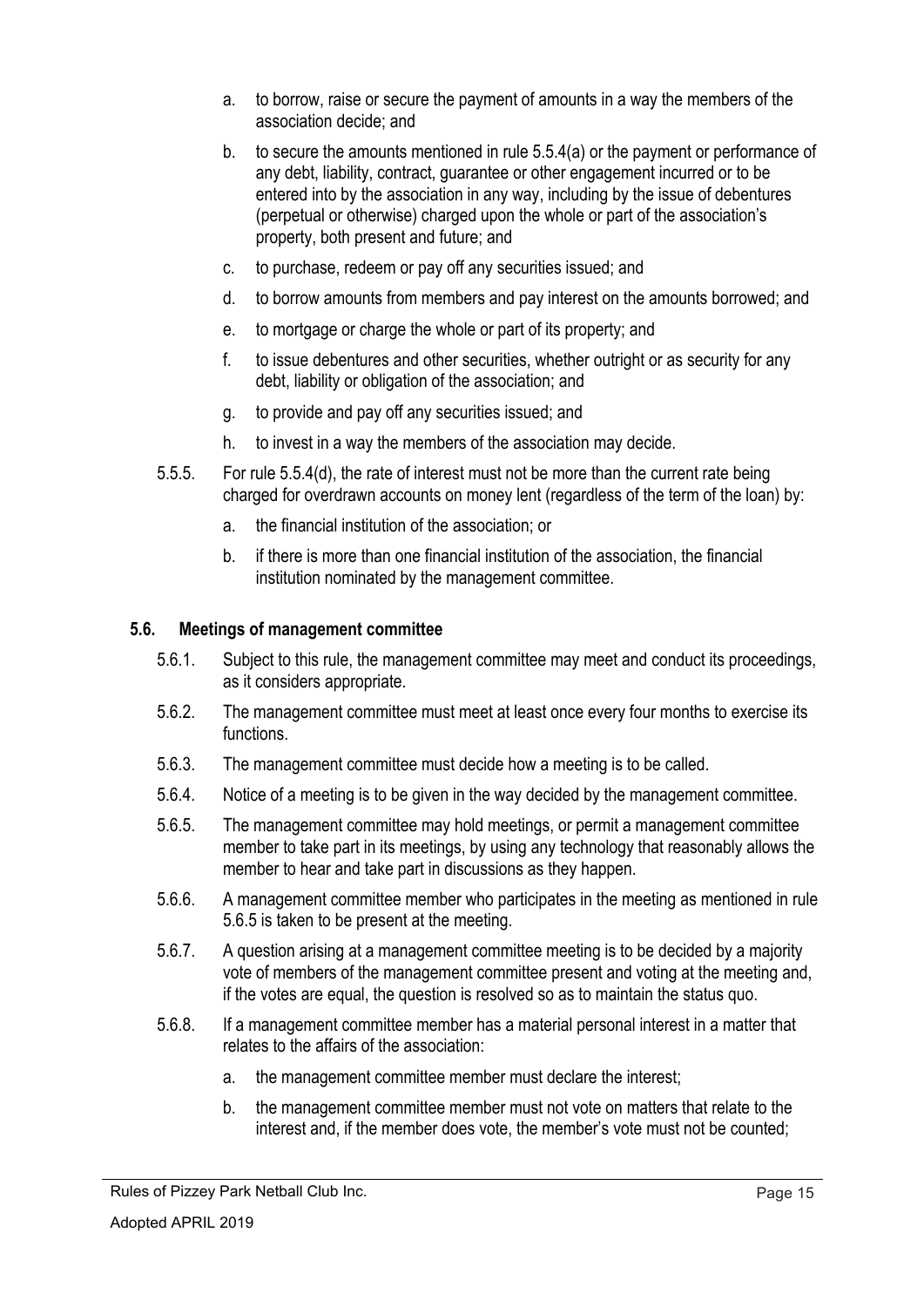- a. to borrow, raise or secure the payment of amounts in a way the members of the association decide; and
- b. to secure the amounts mentioned in rule 5.5.4(a) or the payment or performance of any debt, liability, contract, guarantee or other engagement incurred or to be entered into by the association in any way, including by the issue of debentures (perpetual or otherwise) charged upon the whole or part of the association's property, both present and future; and
- c. to purchase, redeem or pay off any securities issued; and
- d. to borrow amounts from members and pay interest on the amounts borrowed; and
- e. to mortgage or charge the whole or part of its property; and
- f. to issue debentures and other securities, whether outright or as security for any debt, liability or obligation of the association; and
- g. to provide and pay off any securities issued; and
- h. to invest in a way the members of the association may decide.
- 5.5.5. For rule 5.5.4(d), the rate of interest must not be more than the current rate being charged for overdrawn accounts on money lent (regardless of the term of the loan) by:
	- a. the financial institution of the association; or
	- b. if there is more than one financial institution of the association, the financial institution nominated by the management committee.

#### **5.6. Meetings of management committee**

- 5.6.1. Subject to this rule, the management committee may meet and conduct its proceedings, as it considers appropriate.
- 5.6.2. The management committee must meet at least once every four months to exercise its functions.
- 5.6.3. The management committee must decide how a meeting is to be called.
- 5.6.4. Notice of a meeting is to be given in the way decided by the management committee.
- 5.6.5. The management committee may hold meetings, or permit a management committee member to take part in its meetings, by using any technology that reasonably allows the member to hear and take part in discussions as they happen.
- 5.6.6. A management committee member who participates in the meeting as mentioned in rule 5.6.5 is taken to be present at the meeting.
- 5.6.7. A question arising at a management committee meeting is to be decided by a majority vote of members of the management committee present and voting at the meeting and, if the votes are equal, the question is resolved so as to maintain the status quo.
- 5.6.8. If a management committee member has a material personal interest in a matter that relates to the affairs of the association:
	- a. the management committee member must declare the interest;
	- b. the management committee member must not vote on matters that relate to the interest and, if the member does vote, the member's vote must not be counted;

Rules of Pizzey Park Netball Club Inc.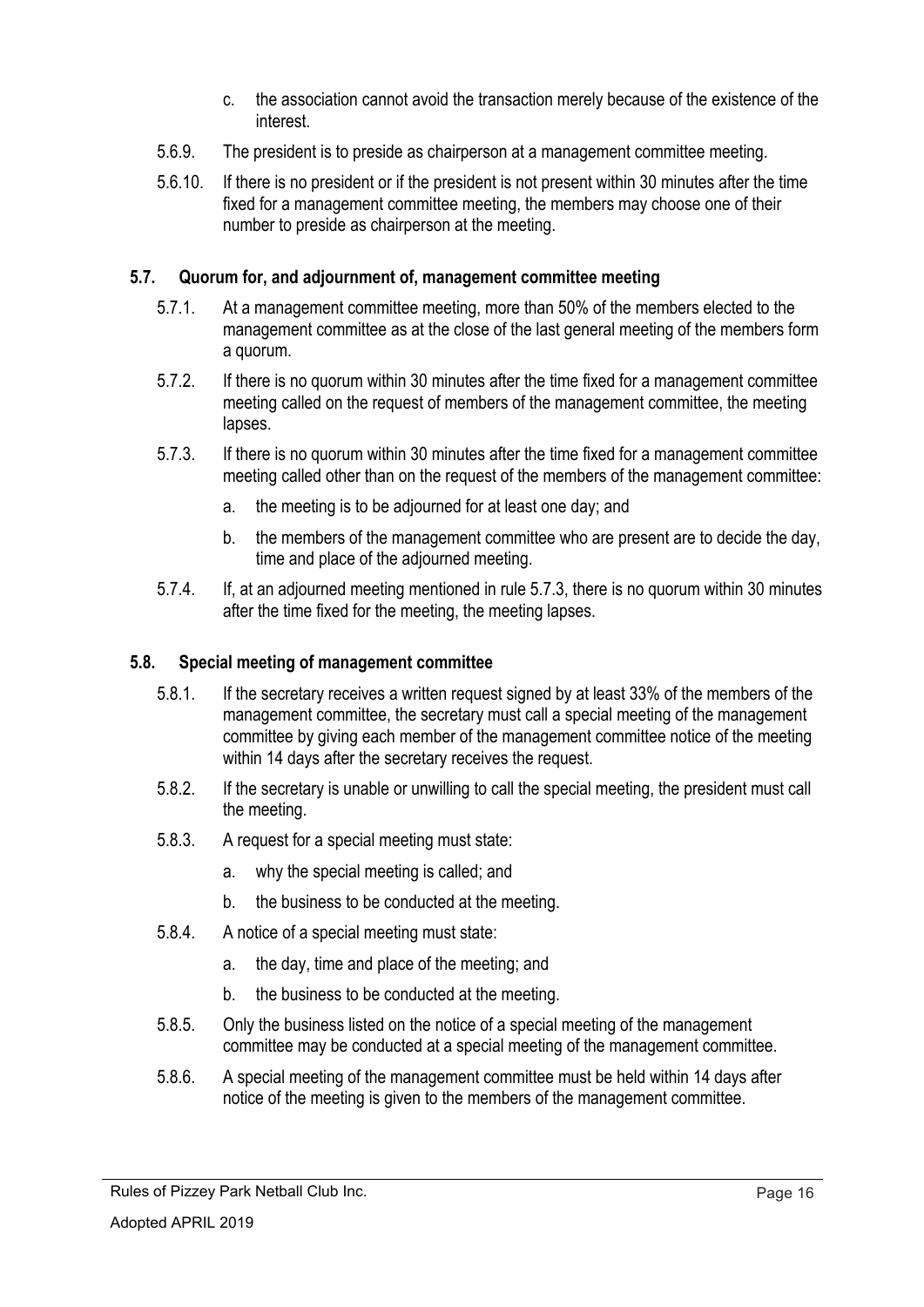- c. the association cannot avoid the transaction merely because of the existence of the interest.
- 5.6.9. The president is to preside as chairperson at a management committee meeting.
- 5.6.10. If there is no president or if the president is not present within 30 minutes after the time fixed for a management committee meeting, the members may choose one of their number to preside as chairperson at the meeting.

# **5.7. Quorum for, and adjournment of, management committee meeting**

- 5.7.1. At a management committee meeting, more than 50% of the members elected to the management committee as at the close of the last general meeting of the members form a quorum.
- 5.7.2. If there is no quorum within 30 minutes after the time fixed for a management committee meeting called on the request of members of the management committee, the meeting lapses.
- 5.7.3. If there is no quorum within 30 minutes after the time fixed for a management committee meeting called other than on the request of the members of the management committee:
	- a. the meeting is to be adjourned for at least one day; and
	- b. the members of the management committee who are present are to decide the day, time and place of the adjourned meeting.
- 5.7.4. If, at an adjourned meeting mentioned in rule 5.7.3, there is no quorum within 30 minutes after the time fixed for the meeting, the meeting lapses.

#### **5.8. Special meeting of management committee**

- 5.8.1. If the secretary receives a written request signed by at least 33% of the members of the management committee, the secretary must call a special meeting of the management committee by giving each member of the management committee notice of the meeting within 14 days after the secretary receives the request.
- 5.8.2. If the secretary is unable or unwilling to call the special meeting, the president must call the meeting.
- 5.8.3. A request for a special meeting must state:
	- a. why the special meeting is called; and
	- b. the business to be conducted at the meeting.
- 5.8.4. A notice of a special meeting must state:
	- a. the day, time and place of the meeting; and
	- b. the business to be conducted at the meeting.
- 5.8.5. Only the business listed on the notice of a special meeting of the management committee may be conducted at a special meeting of the management committee.
- 5.8.6. A special meeting of the management committee must be held within 14 days after notice of the meeting is given to the members of the management committee.

Rules of Pizzey Park Netball Club Inc.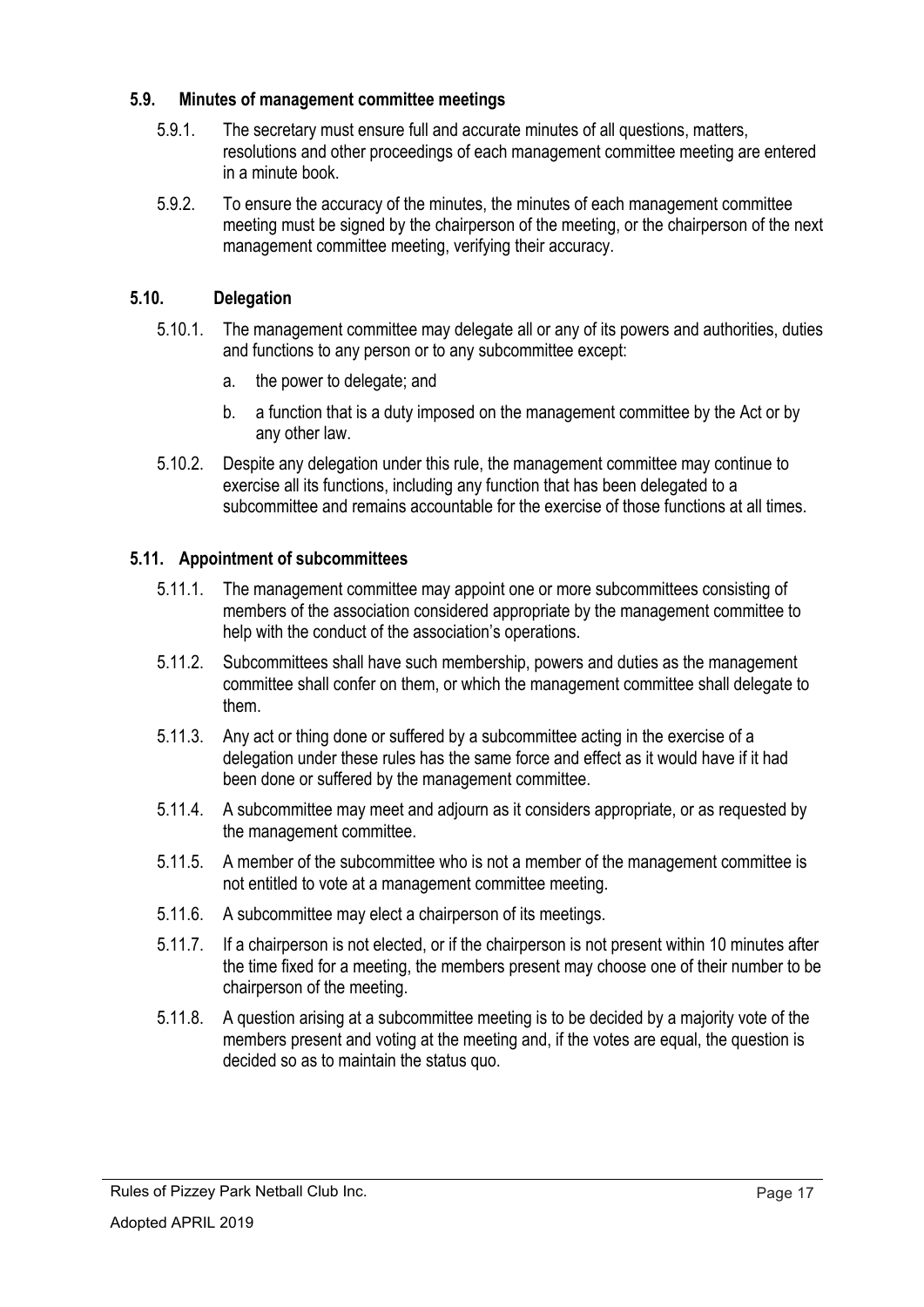## **5.9. Minutes of management committee meetings**

- 5.9.1. The secretary must ensure full and accurate minutes of all questions, matters, resolutions and other proceedings of each management committee meeting are entered in a minute book.
- 5.9.2. To ensure the accuracy of the minutes, the minutes of each management committee meeting must be signed by the chairperson of the meeting, or the chairperson of the next management committee meeting, verifying their accuracy.

# **5.10. Delegation**

- 5.10.1. The management committee may delegate all or any of its powers and authorities, duties and functions to any person or to any subcommittee except:
	- a. the power to delegate; and
	- b. a function that is a duty imposed on the management committee by the Act or by any other law.
- 5.10.2. Despite any delegation under this rule, the management committee may continue to exercise all its functions, including any function that has been delegated to a subcommittee and remains accountable for the exercise of those functions at all times.

# **5.11. Appointment of subcommittees**

- 5.11.1. The management committee may appoint one or more subcommittees consisting of members of the association considered appropriate by the management committee to help with the conduct of the association's operations.
- 5.11.2. Subcommittees shall have such membership, powers and duties as the management committee shall confer on them, or which the management committee shall delegate to them.
- 5.11.3. Any act or thing done or suffered by a subcommittee acting in the exercise of a delegation under these rules has the same force and effect as it would have if it had been done or suffered by the management committee.
- 5.11.4. A subcommittee may meet and adjourn as it considers appropriate, or as requested by the management committee.
- 5.11.5. A member of the subcommittee who is not a member of the management committee is not entitled to vote at a management committee meeting.
- 5.11.6. A subcommittee may elect a chairperson of its meetings.
- 5.11.7. If a chairperson is not elected, or if the chairperson is not present within 10 minutes after the time fixed for a meeting, the members present may choose one of their number to be chairperson of the meeting.
- 5.11.8. A question arising at a subcommittee meeting is to be decided by a majority vote of the members present and voting at the meeting and, if the votes are equal, the question is decided so as to maintain the status quo.

Rules of Pizzey Park Netball Club Inc.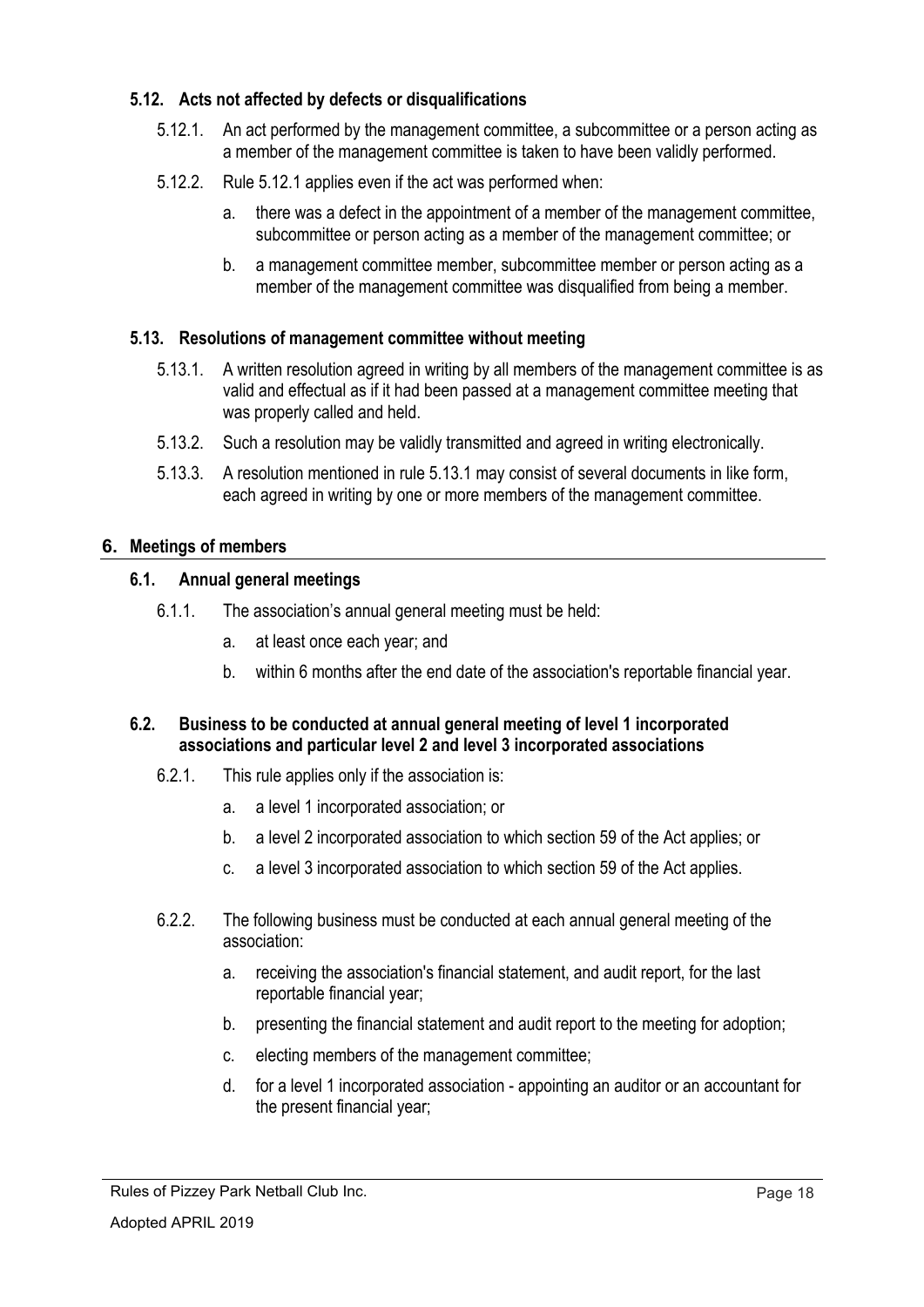# **5.12. Acts not affected by defects or disqualifications**

- 5.12.1. An act performed by the management committee, a subcommittee or a person acting as a member of the management committee is taken to have been validly performed.
- 5.12.2. Rule 5.12.1 applies even if the act was performed when:
	- a. there was a defect in the appointment of a member of the management committee, subcommittee or person acting as a member of the management committee; or
	- b. a management committee member, subcommittee member or person acting as a member of the management committee was disqualified from being a member.

## **5.13. Resolutions of management committee without meeting**

- 5.13.1. A written resolution agreed in writing by all members of the management committee is as valid and effectual as if it had been passed at a management committee meeting that was properly called and held.
- 5.13.2. Such a resolution may be validly transmitted and agreed in writing electronically.
- 5.13.3. A resolution mentioned in rule 5.13.1 may consist of several documents in like form, each agreed in writing by one or more members of the management committee.

#### **6. Meetings of members**

## **6.1. Annual general meetings**

- 6.1.1. The association's annual general meeting must be held:
	- a. at least once each year; and
	- b. within 6 months after the end date of the association's reportable financial year.

## **6.2. Business to be conducted at annual general meeting of level 1 incorporated associations and particular level 2 and level 3 incorporated associations**

- 6.2.1. This rule applies only if the association is:
	- a. a level 1 incorporated association; or
	- b. a level 2 incorporated association to which section 59 of the Act applies; or
	- c. a level 3 incorporated association to which section 59 of the Act applies.
- 6.2.2. The following business must be conducted at each annual general meeting of the association:
	- a. receiving the association's financial statement, and audit report, for the last reportable financial year;
	- b. presenting the financial statement and audit report to the meeting for adoption;
	- c. electing members of the management committee;
	- d. for a level 1 incorporated association appointing an auditor or an accountant for the present financial year;

Rules of Pizzey Park Netball Club Inc.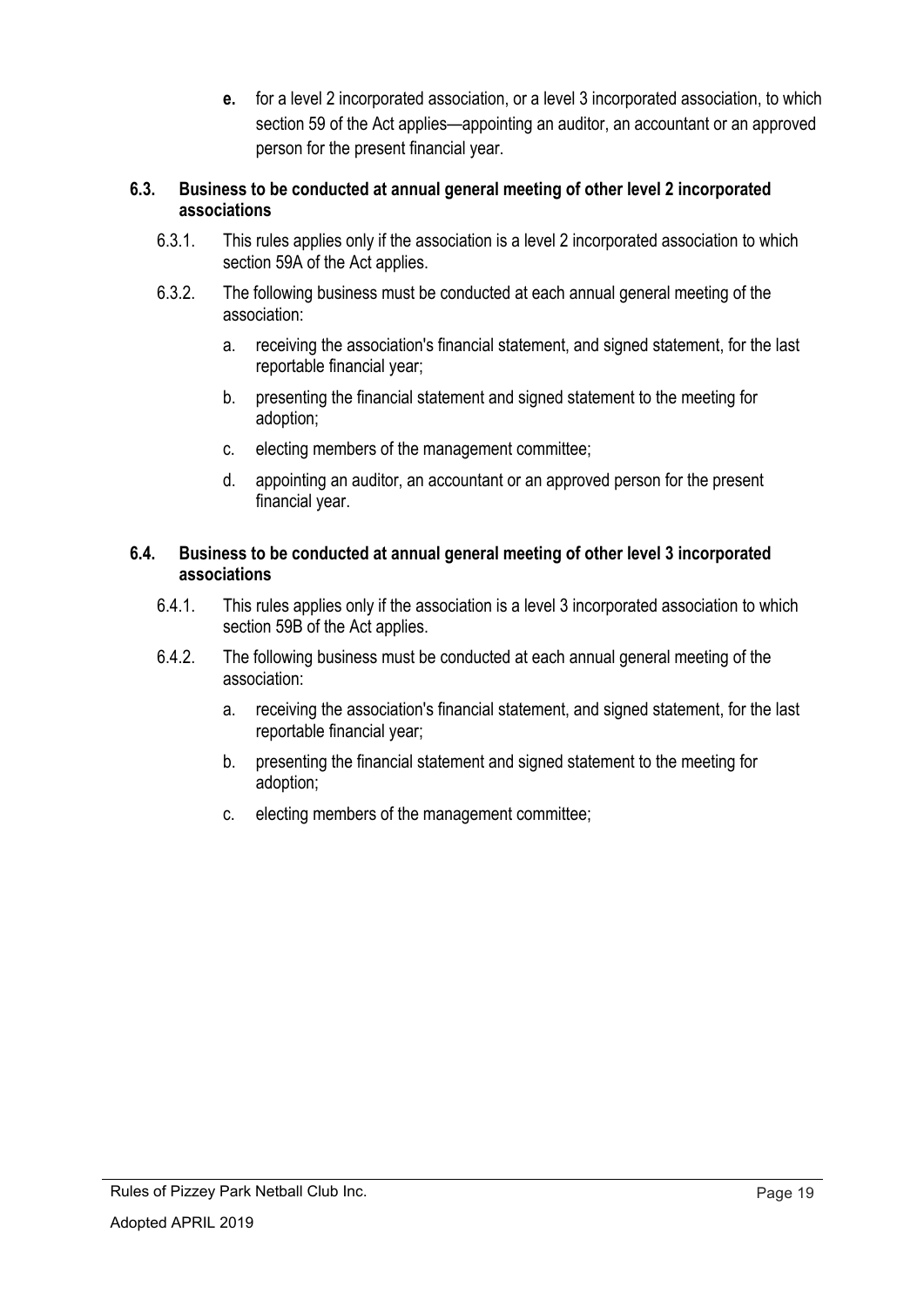**e.** for a level 2 incorporated association, or a level 3 incorporated association, to which section 59 of the Act applies—appointing an auditor, an accountant or an approved person for the present financial year.

## **6.3. Business to be conducted at annual general meeting of other level 2 incorporated associations**

- 6.3.1. This rules applies only if the association is a level 2 incorporated association to which section 59A of the Act applies.
- 6.3.2. The following business must be conducted at each annual general meeting of the association:
	- a. receiving the association's financial statement, and signed statement, for the last reportable financial year;
	- b. presenting the financial statement and signed statement to the meeting for adoption;
	- c. electing members of the management committee;
	- d. appointing an auditor, an accountant or an approved person for the present financial year.

## **6.4. Business to be conducted at annual general meeting of other level 3 incorporated associations**

- 6.4.1. This rules applies only if the association is a level 3 incorporated association to which section 59B of the Act applies.
- 6.4.2. The following business must be conducted at each annual general meeting of the association:
	- a. receiving the association's financial statement, and signed statement, for the last reportable financial year;
	- b. presenting the financial statement and signed statement to the meeting for adoption;
	- c. electing members of the management committee;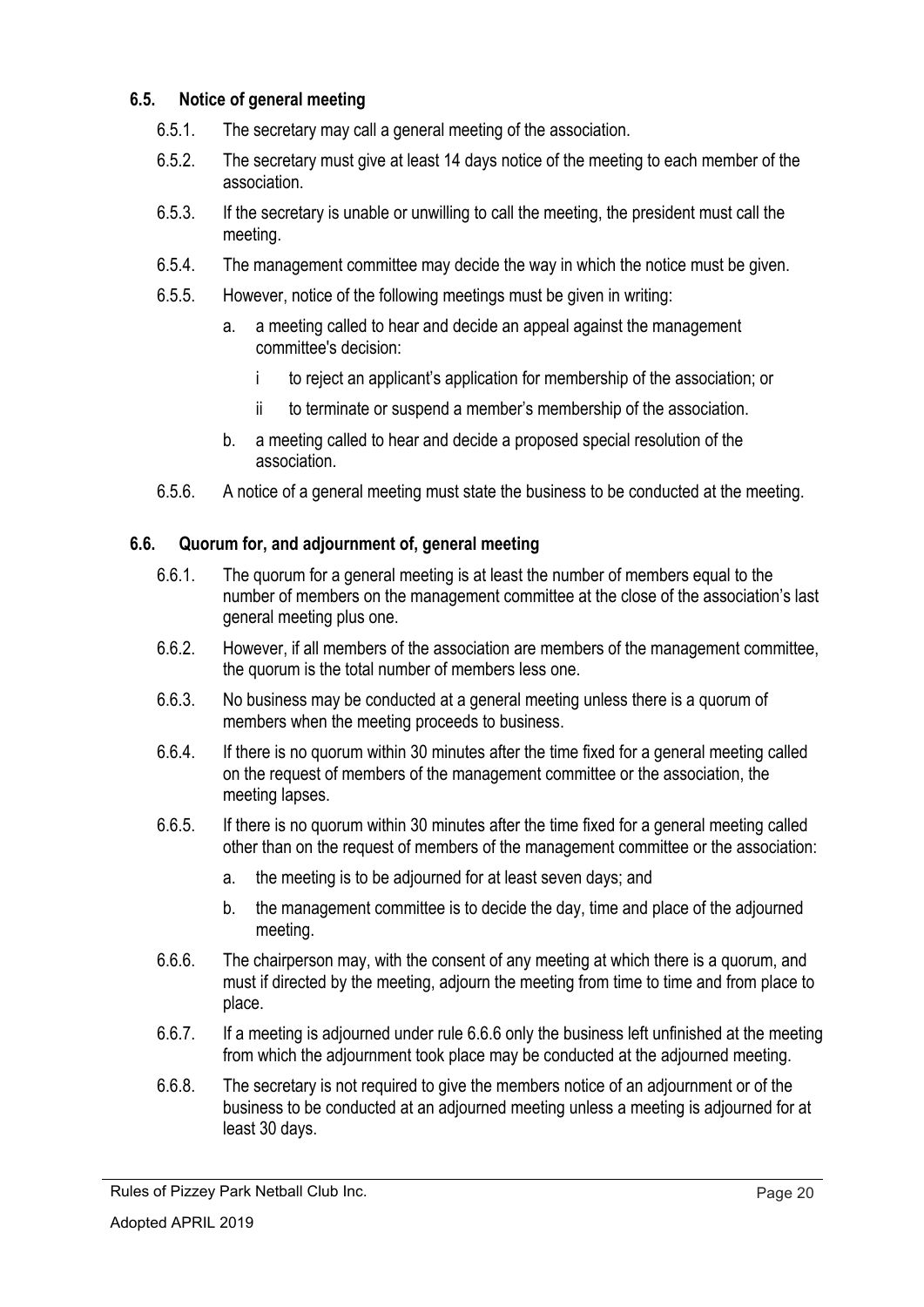## **6.5. Notice of general meeting**

- 6.5.1. The secretary may call a general meeting of the association.
- 6.5.2. The secretary must give at least 14 days notice of the meeting to each member of the association.
- 6.5.3. If the secretary is unable or unwilling to call the meeting, the president must call the meeting.
- 6.5.4. The management committee may decide the way in which the notice must be given.
- 6.5.5. However, notice of the following meetings must be given in writing:
	- a. a meeting called to hear and decide an appeal against the management committee's decision:
		- i to reject an applicant's application for membership of the association; or
		- ii to terminate or suspend a member's membership of the association.
	- b. a meeting called to hear and decide a proposed special resolution of the association.
- 6.5.6. A notice of a general meeting must state the business to be conducted at the meeting.

## **6.6. Quorum for, and adjournment of, general meeting**

- 6.6.1. The quorum for a general meeting is at least the number of members equal to the number of members on the management committee at the close of the association's last general meeting plus one.
- 6.6.2. However, if all members of the association are members of the management committee, the quorum is the total number of members less one.
- 6.6.3. No business may be conducted at a general meeting unless there is a quorum of members when the meeting proceeds to business.
- 6.6.4. If there is no quorum within 30 minutes after the time fixed for a general meeting called on the request of members of the management committee or the association, the meeting lapses.
- 6.6.5. If there is no quorum within 30 minutes after the time fixed for a general meeting called other than on the request of members of the management committee or the association:
	- a. the meeting is to be adjourned for at least seven days; and
	- b. the management committee is to decide the day, time and place of the adjourned meeting.
- 6.6.6. The chairperson may, with the consent of any meeting at which there is a quorum, and must if directed by the meeting, adjourn the meeting from time to time and from place to place.
- 6.6.7. If a meeting is adjourned under rule 6.6.6 only the business left unfinished at the meeting from which the adjournment took place may be conducted at the adjourned meeting.
- 6.6.8. The secretary is not required to give the members notice of an adjournment or of the business to be conducted at an adjourned meeting unless a meeting is adjourned for at least 30 days.

Rules of Pizzey Park Netball Club Inc.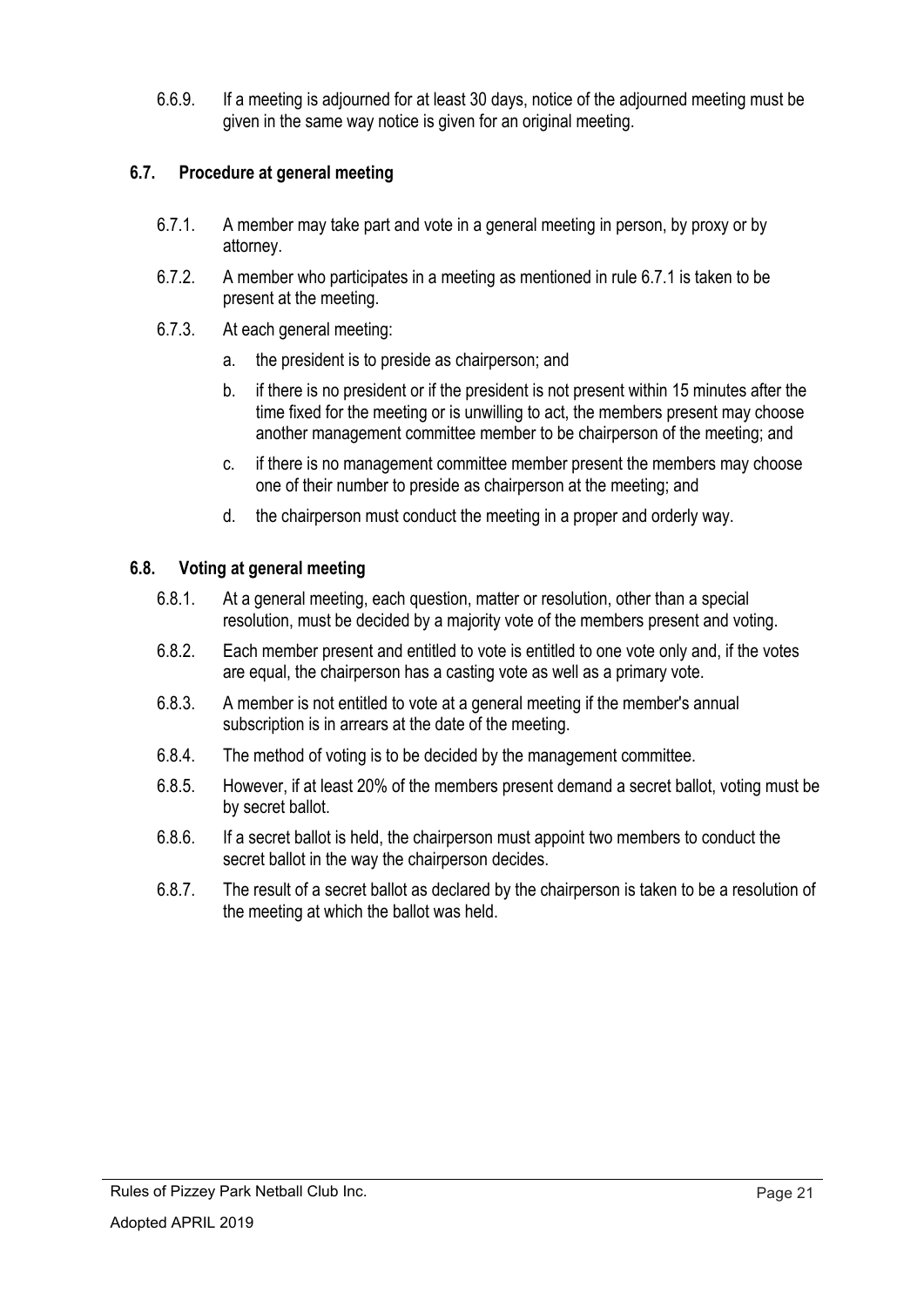6.6.9. If a meeting is adjourned for at least 30 days, notice of the adjourned meeting must be given in the same way notice is given for an original meeting.

# **6.7. Procedure at general meeting**

- 6.7.1. A member may take part and vote in a general meeting in person, by proxy or by attorney.
- 6.7.2. A member who participates in a meeting as mentioned in rule 6.7.1 is taken to be present at the meeting.
- 6.7.3. At each general meeting:
	- a. the president is to preside as chairperson; and
	- b. if there is no president or if the president is not present within 15 minutes after the time fixed for the meeting or is unwilling to act, the members present may choose another management committee member to be chairperson of the meeting; and
	- c. if there is no management committee member present the members may choose one of their number to preside as chairperson at the meeting; and
	- d. the chairperson must conduct the meeting in a proper and orderly way.

## **6.8. Voting at general meeting**

- 6.8.1. At a general meeting, each question, matter or resolution, other than a special resolution, must be decided by a majority vote of the members present and voting.
- 6.8.2. Each member present and entitled to vote is entitled to one vote only and, if the votes are equal, the chairperson has a casting vote as well as a primary vote.
- 6.8.3. A member is not entitled to vote at a general meeting if the member's annual subscription is in arrears at the date of the meeting.
- 6.8.4. The method of voting is to be decided by the management committee.
- 6.8.5. However, if at least 20% of the members present demand a secret ballot, voting must be by secret ballot.
- 6.8.6. If a secret ballot is held, the chairperson must appoint two members to conduct the secret ballot in the way the chairperson decides.
- 6.8.7. The result of a secret ballot as declared by the chairperson is taken to be a resolution of the meeting at which the ballot was held.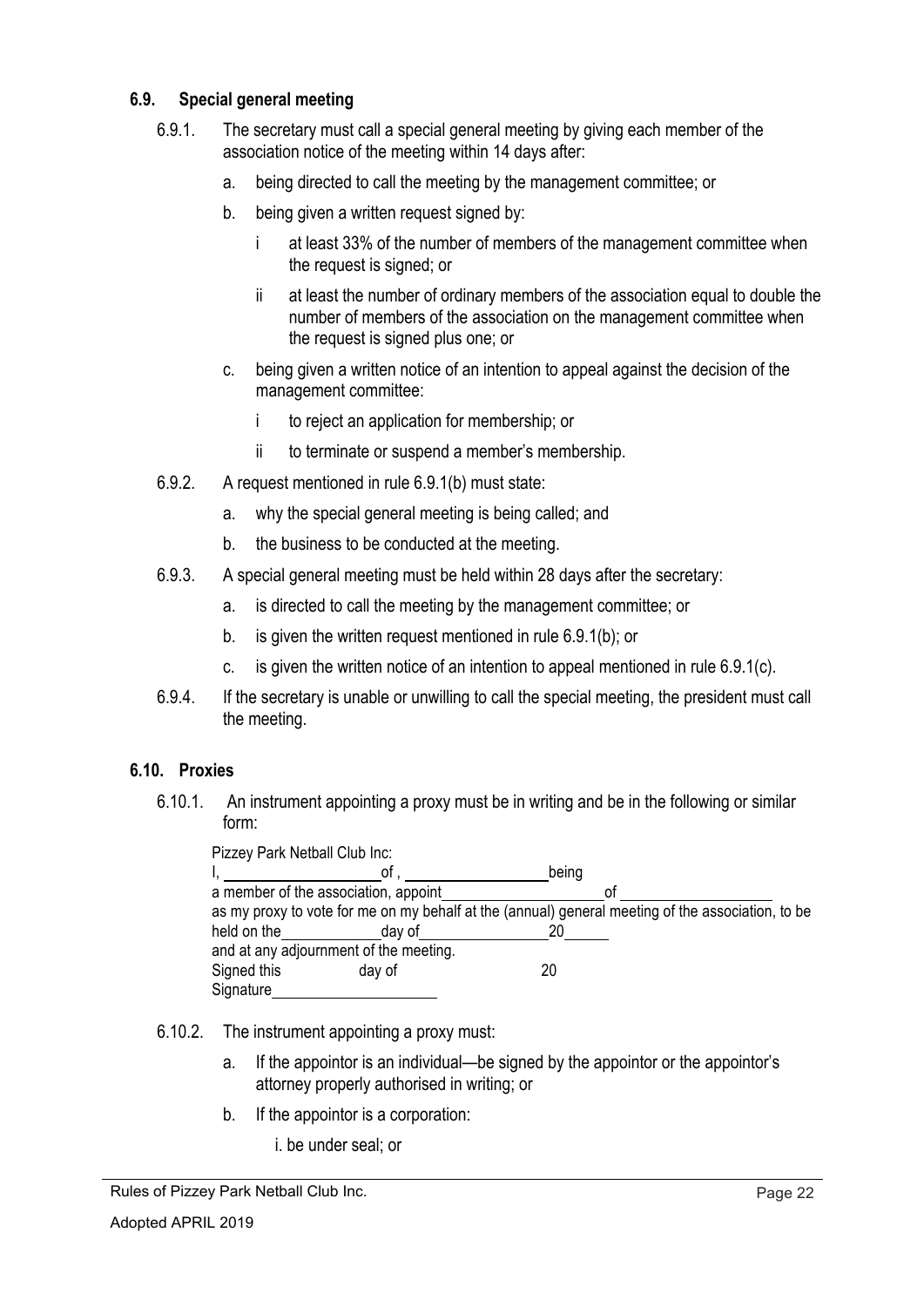## **6.9. Special general meeting**

- 6.9.1. The secretary must call a special general meeting by giving each member of the association notice of the meeting within 14 days after:
	- a. being directed to call the meeting by the management committee; or
	- b. being given a written request signed by:
		- i at least 33% of the number of members of the management committee when the request is signed; or
		- ii at least the number of ordinary members of the association equal to double the number of members of the association on the management committee when the request is signed plus one; or
	- c. being given a written notice of an intention to appeal against the decision of the management committee:
		- i to reject an application for membership; or
		- ii to terminate or suspend a member's membership.
- 6.9.2. A request mentioned in rule 6.9.1(b) must state:
	- a. why the special general meeting is being called; and
	- b. the business to be conducted at the meeting.
- 6.9.3. A special general meeting must be held within 28 days after the secretary:
	- a. is directed to call the meeting by the management committee; or
	- b. is given the written request mentioned in rule 6.9.1(b); or
	- c. is given the written notice of an intention to appeal mentioned in rule 6.9.1(c).
- 6.9.4. If the secretary is unable or unwilling to call the special meeting, the president must call the meeting.

# **6.10. Proxies**

6.10.1. An instrument appointing a proxy must be in writing and be in the following or similar form:

| Pizzey Park Netball Club Inc:          |                                      |                                                                                                   |  |  |  |  |  |
|----------------------------------------|--------------------------------------|---------------------------------------------------------------------------------------------------|--|--|--|--|--|
|                                        | 01                                   | being                                                                                             |  |  |  |  |  |
|                                        | a member of the association, appoint | 01                                                                                                |  |  |  |  |  |
|                                        |                                      | as my proxy to vote for me on my behalf at the (annual) general meeting of the association, to be |  |  |  |  |  |
| held on the                            | day of                               | 20                                                                                                |  |  |  |  |  |
| and at any adjournment of the meeting. |                                      |                                                                                                   |  |  |  |  |  |
| Signed this                            | day of                               | 20                                                                                                |  |  |  |  |  |
| Signature                              |                                      |                                                                                                   |  |  |  |  |  |

- 6.10.2. The instrument appointing a proxy must:
	- a. If the appointor is an individual—be signed by the appointor or the appointor's attorney properly authorised in writing; or
	- b. If the appointor is a corporation:
		- i. be under seal; or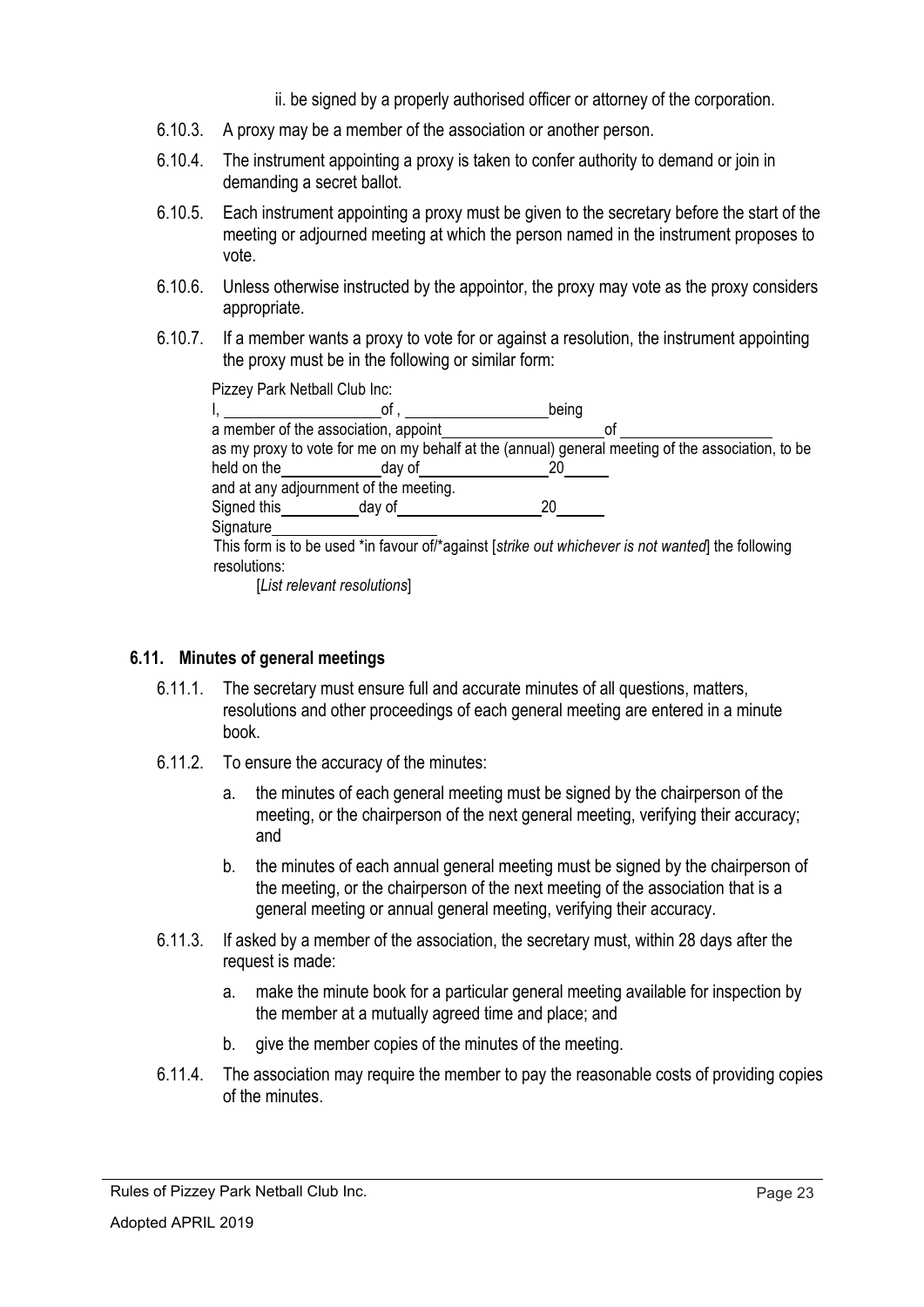- ii. be signed by a properly authorised officer or attorney of the corporation.
- 6.10.3. A proxy may be a member of the association or another person.
- 6.10.4. The instrument appointing a proxy is taken to confer authority to demand or join in demanding a secret ballot.
- 6.10.5. Each instrument appointing a proxy must be given to the secretary before the start of the meeting or adjourned meeting at which the person named in the instrument proposes to vote.
- 6.10.6. Unless otherwise instructed by the appointor, the proxy may vote as the proxy considers appropriate.
- 6.10.7. If a member wants a proxy to vote for or against a resolution, the instrument appointing the proxy must be in the following or similar form:

Pizzey Park Netball Club Inc:

|              | of .                                   | being                                                                                             |  |
|--------------|----------------------------------------|---------------------------------------------------------------------------------------------------|--|
|              | a member of the association, appoint   | 01                                                                                                |  |
|              |                                        | as my proxy to vote for me on my behalf at the (annual) general meeting of the association, to be |  |
| held on the  | day of                                 | 20                                                                                                |  |
|              | and at any adjournment of the meeting. |                                                                                                   |  |
| Signed this  | day of                                 | 20                                                                                                |  |
| Signature    |                                        |                                                                                                   |  |
| resolutions: |                                        | This form is to be used *in favour of/*against [strike out whichever is not wanted] the following |  |

[*List relevant resolutions*]

## **6.11. Minutes of general meetings**

- 6.11.1. The secretary must ensure full and accurate minutes of all questions, matters, resolutions and other proceedings of each general meeting are entered in a minute book.
- 6.11.2. To ensure the accuracy of the minutes:
	- a. the minutes of each general meeting must be signed by the chairperson of the meeting, or the chairperson of the next general meeting, verifying their accuracy; and
	- b. the minutes of each annual general meeting must be signed by the chairperson of the meeting, or the chairperson of the next meeting of the association that is a general meeting or annual general meeting, verifying their accuracy.
- 6.11.3. If asked by a member of the association, the secretary must, within 28 days after the request is made:
	- a. make the minute book for a particular general meeting available for inspection by the member at a mutually agreed time and place; and
	- b. give the member copies of the minutes of the meeting.
- 6.11.4. The association may require the member to pay the reasonable costs of providing copies of the minutes.

Rules of Pizzey Park Netball Club Inc.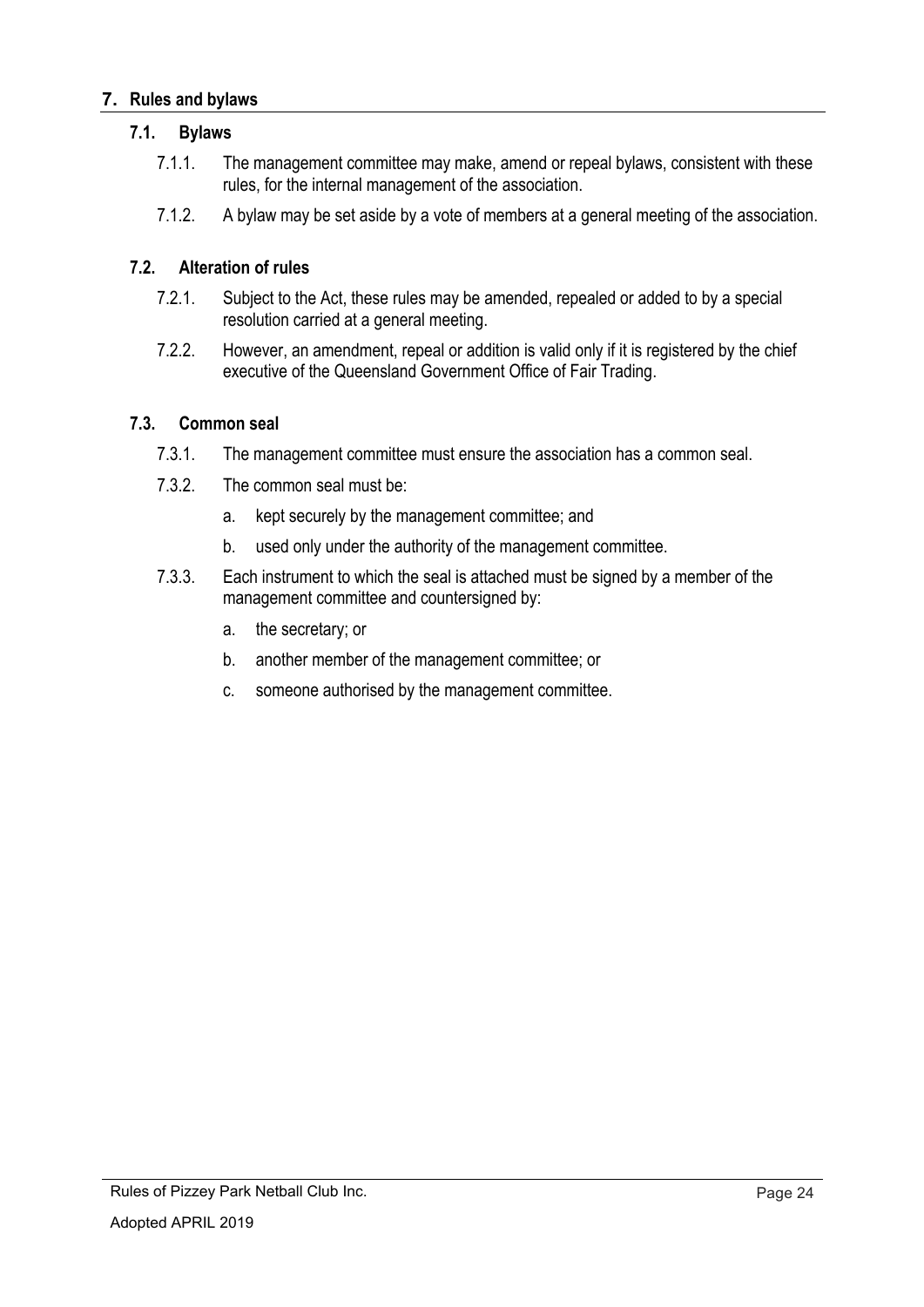#### **7. Rules and bylaws**

#### **7.1. Bylaws**

- 7.1.1. The management committee may make, amend or repeal bylaws, consistent with these rules, for the internal management of the association.
- 7.1.2. A bylaw may be set aside by a vote of members at a general meeting of the association.

#### **7.2. Alteration of rules**

- 7.2.1. Subject to the Act, these rules may be amended, repealed or added to by a special resolution carried at a general meeting.
- 7.2.2. However, an amendment, repeal or addition is valid only if it is registered by the chief executive of the Queensland Government Office of Fair Trading.

#### **7.3. Common seal**

- 7.3.1. The management committee must ensure the association has a common seal.
- 7.3.2. The common seal must be:
	- a. kept securely by the management committee; and
	- b. used only under the authority of the management committee.
- 7.3.3. Each instrument to which the seal is attached must be signed by a member of the management committee and countersigned by:
	- a. the secretary; or
	- b. another member of the management committee; or
	- c. someone authorised by the management committee.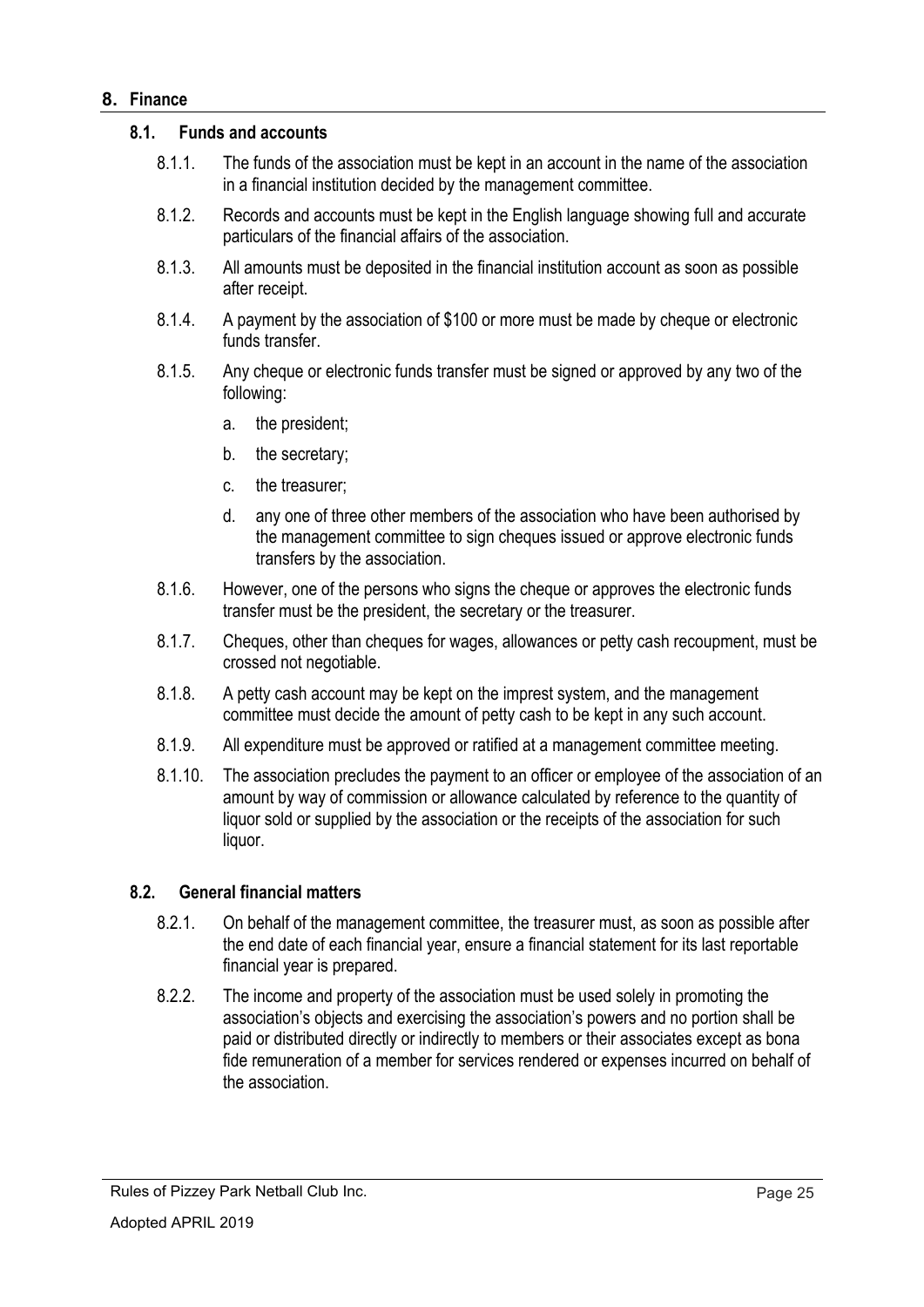#### **8. Finance**

#### **8.1. Funds and accounts**

- 8.1.1. The funds of the association must be kept in an account in the name of the association in a financial institution decided by the management committee.
- 8.1.2. Records and accounts must be kept in the English language showing full and accurate particulars of the financial affairs of the association.
- 8.1.3. All amounts must be deposited in the financial institution account as soon as possible after receipt.
- 8.1.4. A payment by the association of \$100 or more must be made by cheque or electronic funds transfer
- 8.1.5. Any cheque or electronic funds transfer must be signed or approved by any two of the following:
	- a. the president;
	- b. the secretary;
	- c. the treasurer;
	- d. any one of three other members of the association who have been authorised by the management committee to sign cheques issued or approve electronic funds transfers by the association.
- 8.1.6. However, one of the persons who signs the cheque or approves the electronic funds transfer must be the president, the secretary or the treasurer.
- 8.1.7. Cheques, other than cheques for wages, allowances or petty cash recoupment, must be crossed not negotiable.
- 8.1.8. A petty cash account may be kept on the imprest system, and the management committee must decide the amount of petty cash to be kept in any such account.
- 8.1.9. All expenditure must be approved or ratified at a management committee meeting.
- 8.1.10. The association precludes the payment to an officer or employee of the association of an amount by way of commission or allowance calculated by reference to the quantity of liquor sold or supplied by the association or the receipts of the association for such liquor.

#### **8.2. General financial matters**

- 8.2.1. On behalf of the management committee, the treasurer must, as soon as possible after the end date of each financial year, ensure a financial statement for its last reportable financial year is prepared.
- 8.2.2. The income and property of the association must be used solely in promoting the association's objects and exercising the association's powers and no portion shall be paid or distributed directly or indirectly to members or their associates except as bona fide remuneration of a member for services rendered or expenses incurred on behalf of the association.